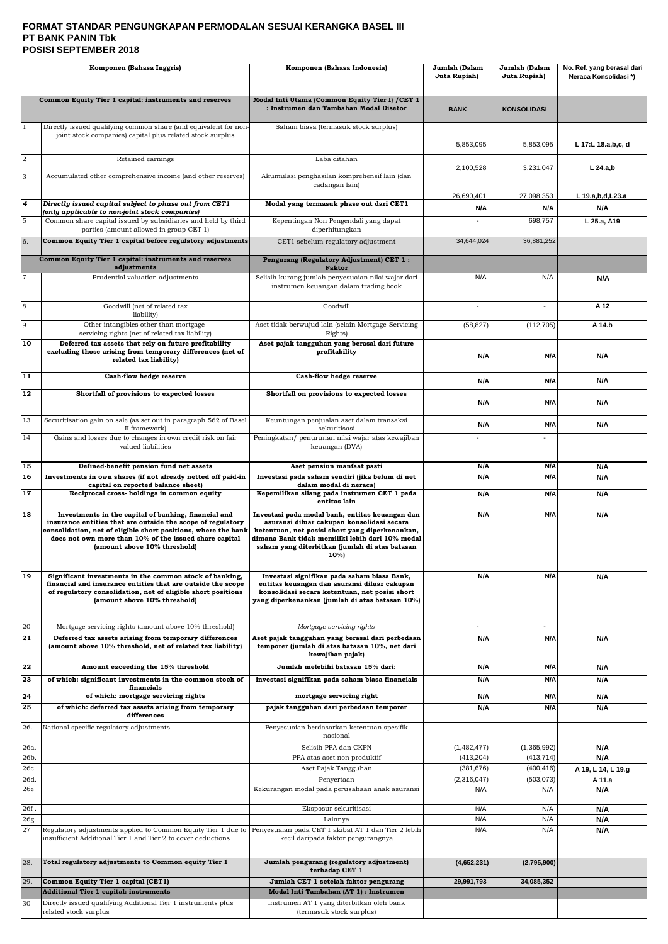#### **FORMAT STANDAR PENGUNGKAPAN PERMODALAN SESUAI KERANGKA BASEL III PT BANK PANIN Tbk POSISI SEPTEMBER 2018**

| Komponen (Bahasa Inggris) |                                                                                                                                                                                                                                                                                 | Komponen (Bahasa Indonesia)                                                                                                                                                                                                                                  | Jumlah (Dalam<br>Juta Rupiah) | Jumlah (Dalam<br>Juta Rupiah) | No. Ref. yang berasal dari<br>Neraca Konsolidasi*) |
|---------------------------|---------------------------------------------------------------------------------------------------------------------------------------------------------------------------------------------------------------------------------------------------------------------------------|--------------------------------------------------------------------------------------------------------------------------------------------------------------------------------------------------------------------------------------------------------------|-------------------------------|-------------------------------|----------------------------------------------------|
|                           | Common Equity Tier 1 capital: instruments and reserves                                                                                                                                                                                                                          | Modal Inti Utama (Common Equity Tier I) / CET 1<br>: Instrumen dan Tambahan Modal Disetor                                                                                                                                                                    | <b>BANK</b>                   | <b>KONSOLIDASI</b>            |                                                    |
|                           | Directly issued qualifying common share (and equivalent for non-<br>joint stock companies) capital plus related stock surplus                                                                                                                                                   | Saham biasa (termasuk stock surplus)                                                                                                                                                                                                                         | 5,853,095                     | 5,853,095                     | L 17:L 18.a,b,c, d                                 |
| $\overline{2}$            | Retained earnings                                                                                                                                                                                                                                                               | Laba ditahan                                                                                                                                                                                                                                                 | 2,100,528                     | 3,231,047                     | $L$ 24.a,b                                         |
| 3                         | Accumulated other comprehensive income (and other reserves)                                                                                                                                                                                                                     | Akumulasi penghasilan komprehensif lain (dan<br>cadangan lain)                                                                                                                                                                                               |                               |                               |                                                    |
| 4                         | Directly issued capital subject to phase out from CET1                                                                                                                                                                                                                          | Modal yang termasuk phase out dari CET1                                                                                                                                                                                                                      | 26,690,401                    | 27,098,353                    | L 19.a,b,d,L23.a                                   |
| 5                         | (only applicable to non-joint stock companies)<br>Common share capital issued by subsidiaries and held by third                                                                                                                                                                 | Kepentingan Non Pengendali yang dapat                                                                                                                                                                                                                        | N/A                           | N/A<br>698,757                | N/A<br>L 25.a, A19                                 |
|                           | parties (amount allowed in group CET 1)                                                                                                                                                                                                                                         | diperhitungkan                                                                                                                                                                                                                                               |                               |                               |                                                    |
| 6.                        | Common Equity Tier 1 capital before regulatory adjustments                                                                                                                                                                                                                      | CET1 sebelum regulatory adjustment                                                                                                                                                                                                                           | 34,644,024                    | 36,881,252                    |                                                    |
|                           | Common Equity Tier 1 capital: instruments and reserves<br>adjustments                                                                                                                                                                                                           | Pengurang (Regulatory Adjustment) CET 1:<br><b>Faktor</b>                                                                                                                                                                                                    |                               |                               |                                                    |
|                           | Prudential valuation adjustments                                                                                                                                                                                                                                                | Selisih kurang jumlah penyesuaian nilai wajar dari<br>instrumen keuangan dalam trading book                                                                                                                                                                  | N/A                           | N/A                           | N/A                                                |
| 8                         | Goodwill (net of related tax<br>liability)                                                                                                                                                                                                                                      | Goodwill                                                                                                                                                                                                                                                     |                               |                               | A 12                                               |
| 9                         | Other intangibles other than mortgage-<br>servicing rights (net of related tax liability)                                                                                                                                                                                       | Aset tidak berwujud lain (selain Mortgage-Servicing<br>Rights)                                                                                                                                                                                               | (58, 827)                     | (112, 705)                    | A 14.b                                             |
| 10                        | Deferred tax assets that rely on future profitability<br>excluding those arising from temporary differences (net of<br>related tax liability)                                                                                                                                   | Aset pajak tangguhan yang berasal dari future<br>profitability                                                                                                                                                                                               | N/A                           | N/A                           | N/A                                                |
| $\overline{11}$           | Cash-flow hedge reserve                                                                                                                                                                                                                                                         | Cash-flow hedge reserve                                                                                                                                                                                                                                      | N/A                           | N/A                           | N/A                                                |
| 12                        | Shortfall of provisions to expected losses                                                                                                                                                                                                                                      | Shortfall on provisions to expected losses                                                                                                                                                                                                                   | N/A                           | N/A                           | N/A                                                |
| 13                        | Securitisation gain on sale (as set out in paragraph 562 of Basel<br>II framework)                                                                                                                                                                                              | Keuntungan penjualan aset dalam transaksi<br>sekuritisasi                                                                                                                                                                                                    | N/A                           | N/A                           | N/A                                                |
| 14                        | Gains and losses due to changes in own credit risk on fair<br>valued liabilities                                                                                                                                                                                                | Peningkatan/ penurunan nilai wajar atas kewajiban<br>keuangan (DVA)                                                                                                                                                                                          |                               |                               |                                                    |
| 15                        | Defined-benefit pension fund net assets                                                                                                                                                                                                                                         | Aset pensiun manfaat pasti                                                                                                                                                                                                                                   | N/A                           | N/A                           | N/A                                                |
| 16                        | Investments in own shares (if not already netted off paid-in<br>capital on reported balance sheet)                                                                                                                                                                              | Investasi pada saham sendiri (jika belum di net<br>dalam modal di neraca)                                                                                                                                                                                    | N/A                           | N/A                           | N/A                                                |
| 17                        | Reciprocal cross-holdings in common equity                                                                                                                                                                                                                                      | Kepemilikan silang pada instrumen CET 1 pada<br>entitas lain                                                                                                                                                                                                 | N/A                           | N/A                           | N/A                                                |
| 18                        | Investments in the capital of banking, financial and<br>insurance entities that are outside the scope of regulatory<br>consolidation, net of eligible short positions, where the bank<br>does not own more than 10% of the issued share capital<br>(amount above 10% threshold) | Investasi pada modal bank, entitas keuangan dan<br>asuransi diluar cakupan konsolidasi secara<br>ketentuan, net posisi short yang diperkenankan,<br>dimana Bank tidak memiliki lebih dari 10% modal<br>saham yang diterbitkan (jumlah di atas batasan<br>10% | N/A                           | N/A                           | N/A                                                |
| 19                        | Significant investments in the common stock of banking,<br>financial and insurance entities that are outside the scope<br>of regulatory consolidation, net of eligible short positions<br>(amount above 10% threshold)                                                          | Investasi signifikan pada saham biasa Bank,<br>entitas keuangan dan asuransi diluar cakupan<br>konsolidasi secara ketentuan, net posisi short<br>yang diperkenankan (jumlah di atas batasan 10%)                                                             | N/A                           | N/A                           | N/A                                                |
| 20<br>21                  | Mortgage servicing rights (amount above 10% threshold)<br>Deferred tax assets arising from temporary differences<br>(amount above 10% threshold, net of related tax liability)                                                                                                  | Mortgage servicing rights<br>Aset pajak tangguhan yang berasal dari perbedaan<br>temporer (jumlah di atas batasan 10%, net dari<br>kewajiban pajak)                                                                                                          | N/A                           | $\blacksquare$<br>N/A         | N/A                                                |
| 22                        | Amount exceeding the 15% threshold                                                                                                                                                                                                                                              | Jumlah melebihi batasan 15% dari:                                                                                                                                                                                                                            | N/A                           | N/A                           | N/A                                                |
| 23                        | of which: significant investments in the common stock of<br>financials                                                                                                                                                                                                          | investasi signifikan pada saham biasa financials                                                                                                                                                                                                             | N/A                           | N/A                           | N/A                                                |
| 24<br>25                  | of which: mortgage servicing rights<br>of which: deferred tax assets arising from temporary                                                                                                                                                                                     | mortgage servicing right<br>pajak tangguhan dari perbedaan temporer                                                                                                                                                                                          | N/A<br>N/A                    | N/A<br>N/A                    | N/A<br>N/A                                         |
| 26.                       | differences<br>National specific regulatory adjustments                                                                                                                                                                                                                         | Penyesuaian berdasarkan ketentuan spesifik                                                                                                                                                                                                                   |                               |                               |                                                    |
| 26a.                      |                                                                                                                                                                                                                                                                                 | nasional<br>Selisih PPA dan CKPN                                                                                                                                                                                                                             | (1,482,477)                   | (1,365,992)                   |                                                    |
| 26b.                      |                                                                                                                                                                                                                                                                                 | PPA atas aset non produktif                                                                                                                                                                                                                                  | (413, 204)                    | (413, 714)                    | N/A<br>N/A                                         |
| 26c.                      |                                                                                                                                                                                                                                                                                 | Aset Pajak Tangguhan                                                                                                                                                                                                                                         | (381, 676)                    | (400, 416)                    | A 19, L 14, L 19.g                                 |
| 26d.<br>26e               |                                                                                                                                                                                                                                                                                 | Penyertaan<br>Kekurangan modal pada perusahaan anak asuransi                                                                                                                                                                                                 | (2,316,047)<br>N/A            | (503, 073)<br>N/A             | A 11.a<br>N/A                                      |
| 26f.                      |                                                                                                                                                                                                                                                                                 | Eksposur sekuritisasi                                                                                                                                                                                                                                        | N/A                           | N/A                           | N/A                                                |
| 26g.                      |                                                                                                                                                                                                                                                                                 | Lainnya                                                                                                                                                                                                                                                      | N/A                           | N/A                           | N/A                                                |
| 27                        | Regulatory adjustments applied to Common Equity Tier 1 due to<br>insufficient Additional Tier 1 and Tier 2 to cover deductions                                                                                                                                                  | Penyesuaian pada CET 1 akibat AT 1 dan Tier 2 lebih<br>kecil daripada faktor pengurangnya                                                                                                                                                                    | N/A                           | N/A                           | N/A                                                |
| 28.                       | Total regulatory adjustments to Common equity Tier 1                                                                                                                                                                                                                            | Jumlah pengurang (regulatory adjustment)<br>terhadap CET 1                                                                                                                                                                                                   | (4,652,231)                   | (2,795,900)                   |                                                    |
| 29.                       | Common Equity Tier 1 capital (CET1)                                                                                                                                                                                                                                             | Jumlah CET 1 setelah faktor pengurang                                                                                                                                                                                                                        | 29,991,793                    | 34,085,352                    |                                                    |
| 30                        | <b>Additional Tier 1 capital: instruments</b><br>Directly issued qualifying Additional Tier 1 instruments plus                                                                                                                                                                  | Modal Inti Tambahan (AT 1) : Instrumen<br>Instrumen AT 1 yang diterbitkan oleh bank                                                                                                                                                                          |                               |                               |                                                    |
|                           | related stock surplus                                                                                                                                                                                                                                                           | (termasuk stock surplus)                                                                                                                                                                                                                                     |                               |                               |                                                    |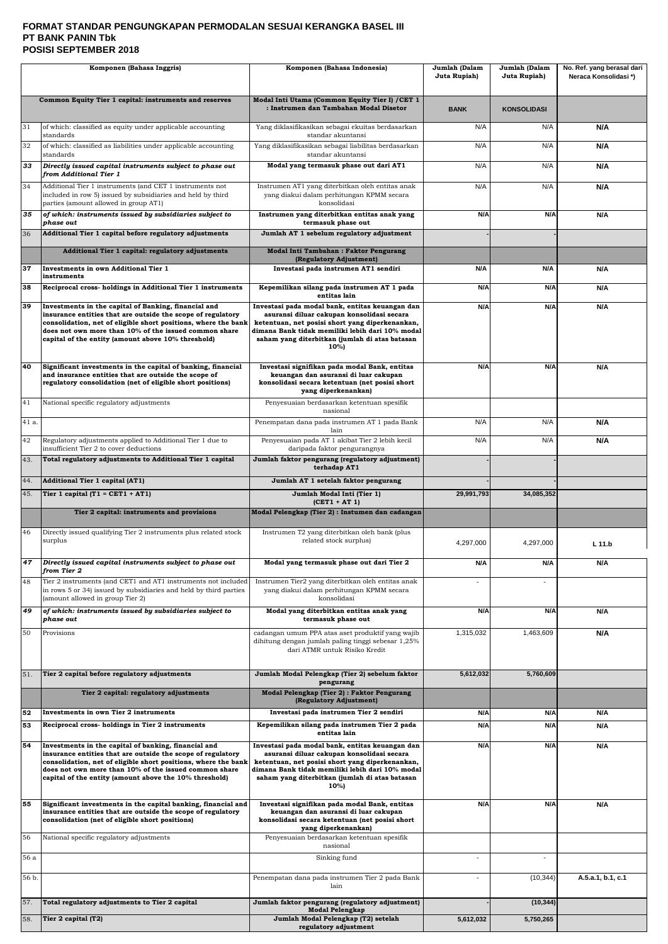#### **FORMAT STANDAR PENGUNGKAPAN PERMODALAN SESUAI KERANGKA BASEL III PT BANK PANIN Tbk POSISI SEPTEMBER 2018**

| Komponen (Bahasa Inggris) |                                                                                                                                                                                                                                                                                                          | Komponen (Bahasa Indonesia)                                                                                                                                                                                                                                   | Jumlah (Dalam<br>Juta Rupiah) | Jumlah (Dalam<br>Juta Rupiah) | No. Ref. yang berasal dari<br>Neraca Konsolidasi*) |
|---------------------------|----------------------------------------------------------------------------------------------------------------------------------------------------------------------------------------------------------------------------------------------------------------------------------------------------------|---------------------------------------------------------------------------------------------------------------------------------------------------------------------------------------------------------------------------------------------------------------|-------------------------------|-------------------------------|----------------------------------------------------|
|                           | Common Equity Tier 1 capital: instruments and reserves                                                                                                                                                                                                                                                   | Modal Inti Utama (Common Equity Tier I) / CET 1<br>: Instrumen dan Tambahan Modal Disetor                                                                                                                                                                     | <b>BANK</b>                   | <b>KONSOLIDASI</b>            |                                                    |
| 31                        | of which: classified as equity under applicable accounting<br>standards                                                                                                                                                                                                                                  | Yang diklasifikasikan sebagai ekuitas berdasarkan<br>standar akuntansi                                                                                                                                                                                        | N/A                           | N/A                           | N/A                                                |
| 32                        | of which: classified as liabilities under applicable accounting<br>standards                                                                                                                                                                                                                             | Yang diklasifikasikan sebagai liabilitas berdasarkan<br>standar akuntansi                                                                                                                                                                                     | N/A                           | N/A                           | N/A                                                |
| 33                        | Directly issued capital instruments subject to phase out<br>from Additional Tier 1                                                                                                                                                                                                                       | Modal yang termasuk phase out dari AT1                                                                                                                                                                                                                        | N/A                           | N/A                           | N/A                                                |
| 34                        | Additional Tier 1 instruments (and CET 1 instruments not<br>included in row 5) issued by subsidiaries and held by third<br>parties (amount allowed in group AT1)                                                                                                                                         | Instrumen AT1 yang diterbitkan oleh entitas anak<br>yang diakui dalam perhitungan KPMM secara<br>konsolidasi                                                                                                                                                  | N/A                           | N/A                           | N/A                                                |
| 35                        | of which: instruments issued by subsidiaries subject to<br>phase out                                                                                                                                                                                                                                     | Instrumen yang diterbitkan entitas anak yang<br>termasuk phase out                                                                                                                                                                                            | N/A                           | N/A                           | N/A                                                |
| 36                        | Additional Tier 1 capital before regulatory adjustments                                                                                                                                                                                                                                                  | Jumlah AT 1 sebelum regulatory adjustment                                                                                                                                                                                                                     |                               |                               |                                                    |
|                           | Additional Tier 1 capital: regulatory adjustments                                                                                                                                                                                                                                                        | Modal Inti Tambahan: Faktor Pengurang<br>(Regulatory Adjustment)                                                                                                                                                                                              |                               |                               |                                                    |
| 37                        | <b>Investments in own Additional Tier 1</b><br>instruments                                                                                                                                                                                                                                               | Investasi pada instrumen AT1 sendiri                                                                                                                                                                                                                          | N/A                           | N/A                           | N/A                                                |
| 38                        | Reciprocal cross-holdings in Additional Tier 1 instruments                                                                                                                                                                                                                                               | Kepemilikan silang pada instrumen AT 1 pada<br>entitas lain                                                                                                                                                                                                   | N/A                           | N/A                           | N/A                                                |
| 39                        | Investments in the capital of Banking, financial and<br>insurance entities that are outside the scope of regulatory<br>consolidation, net of eligible short positions, where the bank<br>does not own more than 10% of the issued common share<br>capital of the entity (amount above 10% threshold)     | Investasi pada modal bank, entitas keuangan dan<br>asuransi diluar cakupan konsolidasi secara<br>ketentuan, net posisi short yang diperkenankan,<br>dimana Bank tidak memiliki lebih dari 10% modal<br>saham yang diterbitkan (jumlah di atas batasan<br>10%) | N/A                           | N/A                           | N/A                                                |
| 40                        | Significant investments in the capital of banking, financial<br>and insurance entities that are outside the scope of<br>regulatory consolidation (net of eligible short positions)                                                                                                                       | Investasi signifikan pada modal Bank, entitas<br>keuangan dan asuransi di luar cakupan<br>konsolidasi secara ketentuan (net posisi short<br>yang diperkenankan)                                                                                               | N/A                           | N/A                           | N/A                                                |
| 41                        | National specific regulatory adjustments                                                                                                                                                                                                                                                                 | Penyesuaian berdasarkan ketentuan spesifik<br>nasional                                                                                                                                                                                                        |                               |                               |                                                    |
| 41 a.                     |                                                                                                                                                                                                                                                                                                          | Penempatan dana pada instrumen AT 1 pada Bank<br>lain                                                                                                                                                                                                         | N/A                           | N/A                           | N/A                                                |
| 42                        | Regulatory adjustments applied to Additional Tier 1 due to<br>insufficient Tier 2 to cover deductions                                                                                                                                                                                                    | Penyesuaian pada AT 1 akibat Tier 2 lebih kecil<br>daripada faktor pengurangnya                                                                                                                                                                               | N/A                           | N/A                           | <b>N/A</b>                                         |
| 43.                       | Total regulatory adjustments to Additional Tier 1 capital                                                                                                                                                                                                                                                | Jumlah faktor pengurang (regulatory adjustment)<br>terhadap AT1                                                                                                                                                                                               |                               |                               |                                                    |
| 44.                       | <b>Additional Tier 1 capital (AT1)</b>                                                                                                                                                                                                                                                                   | Jumlah AT 1 setelah faktor pengurang                                                                                                                                                                                                                          |                               |                               |                                                    |
| 45.                       | Tier 1 capital $(T1 = CET1 + AT1)$                                                                                                                                                                                                                                                                       | Jumlah Modal Inti (Tier 1)<br>$(CET1 + AT1)$                                                                                                                                                                                                                  | 29,991,793                    | 34,085,352                    |                                                    |
|                           | Tier 2 capital: instruments and provisions                                                                                                                                                                                                                                                               | Modal Pelengkap (Tier 2) : Instumen dan cadangan                                                                                                                                                                                                              |                               |                               |                                                    |
| 46                        | Directly issued qualifying Tier 2 instruments plus related stock<br>surplus                                                                                                                                                                                                                              | Instrumen T2 yang diterbitkan oleh bank (plus<br>related stock surplus)                                                                                                                                                                                       | 4,297,000                     | 4,297,000                     | $L$ 11.b                                           |
| 47                        | Directly issued capital instruments subject to phase out<br>from Tier 2                                                                                                                                                                                                                                  | Modal yang termasuk phase out dari Tier 2                                                                                                                                                                                                                     | N/A                           | N/A                           | N/A                                                |
| 48                        | Tier 2 instruments (and CET1 and AT1 instruments not included<br>in rows 5 or 34) issued by subsidiaries and held by third parties<br>(amount allowed in group Tier 2)                                                                                                                                   | Instrumen Tier2 yang diterbitkan oleh entitas anak<br>yang diakui dalam perhitungan KPMM secara<br>konsolidasi                                                                                                                                                |                               |                               |                                                    |
| 49                        | of which: instruments issued by subsidiaries subject to<br>phase out                                                                                                                                                                                                                                     | Modal yang diterbitkan entitas anak yang<br>termasuk phase out                                                                                                                                                                                                | N/A                           | N/A                           | N/A                                                |
| 50                        | Provisions                                                                                                                                                                                                                                                                                               | cadangan umum PPA atas aset produktif yang wajib<br>dihitung dengan jumlah paling tinggi sebesar 1,25%<br>dari ATMR untuk Risiko Kredit                                                                                                                       | 1,315,032                     | 1,463,609                     | N/A                                                |
| 51.                       | Tier 2 capital before regulatory adjustments                                                                                                                                                                                                                                                             | Jumlah Modal Pelengkap (Tier 2) sebelum faktor<br>pengurang                                                                                                                                                                                                   | 5,612,032                     | 5,760,609                     |                                                    |
|                           | Tier 2 capital: regulatory adjustments                                                                                                                                                                                                                                                                   | Modal Pelengkap (Tier 2) : Faktor Pengurang<br>(Regulatory Adjustment)                                                                                                                                                                                        |                               |                               |                                                    |
| 52<br>53                  | Investments in own Tier 2 instruments<br>Reciprocal cross-holdings in Tier 2 instruments                                                                                                                                                                                                                 | Investasi pada instrumen Tier 2 sendiri<br>Kepemilikan silang pada instrumen Tier 2 pada                                                                                                                                                                      | N/A<br>N/A                    | N/A<br>N/A                    | N/A<br>N/A                                         |
|                           |                                                                                                                                                                                                                                                                                                          | entitas lain                                                                                                                                                                                                                                                  |                               |                               |                                                    |
| 54                        | Investments in the capital of banking, financial and<br>insurance entities that are outside the scope of regulatory<br>consolidation, net of eligible short positions, where the bank<br>does not own more than 10% of the issued common share<br>capital of the entity (amount above the 10% threshold) | Investasi pada modal bank, entitas keuangan dan<br>asuransi diluar cakupan konsolidasi secara<br>ketentuan, net posisi short yang diperkenankan,<br>dimana Bank tidak memiliki lebih dari 10% modal<br>saham yang diterbitkan (jumlah di atas batasan<br>10%) | N/A                           | N/A                           | N/A                                                |
| 55                        | Significant investments in the capital banking, financial and<br>insurance entities that are outside the scope of regulatory<br>consolidation (net of eligible short positions)                                                                                                                          | Investasi signifikan pada modal Bank, entitas<br>keuangan dan asuransi di luar cakupan<br>konsolidasi secara ketentuan (net posisi short<br>yang diperkenankan)                                                                                               | N/A                           | N/A                           | N/A                                                |
| 56                        | National specific regulatory adjustments                                                                                                                                                                                                                                                                 | Penyesuaian berdasarkan ketentuan spesifik<br>nasional                                                                                                                                                                                                        |                               |                               |                                                    |
| 56 a                      |                                                                                                                                                                                                                                                                                                          | Sinking fund                                                                                                                                                                                                                                                  |                               | $\overline{a}$                |                                                    |
| 56 b.                     |                                                                                                                                                                                                                                                                                                          | Penempatan dana pada instrumen Tier 2 pada Bank<br>lain                                                                                                                                                                                                       |                               | (10, 344)                     | A.5.a.1, b.1, c.1                                  |
| 57.                       | Total regulatory adjustments to Tier 2 capital                                                                                                                                                                                                                                                           | Jumlah faktor pengurang (regulatory adjustment)<br><b>Modal Pelengkap</b>                                                                                                                                                                                     |                               | (10, 344)                     |                                                    |
| 58.                       | Tier 2 capital (T2)                                                                                                                                                                                                                                                                                      | Jumlah Modal Pelengkap (T2) setelah<br>regulatory adjustment                                                                                                                                                                                                  | 5,612,032                     | 5,750,265                     |                                                    |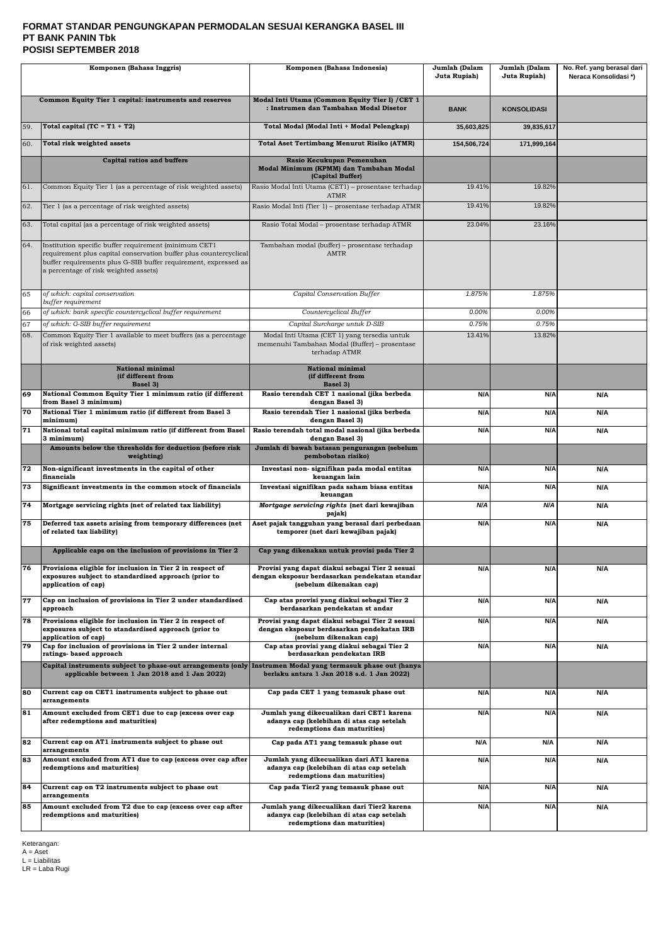#### **FORMAT STANDAR PENGUNGKAPAN PERMODALAN SESUAI KERANGKA BASEL III PT BANK PANIN Tbk POSISI SEPTEMBER 2018**

|           | Komponen (Bahasa Inggris)                                                                                                                                                                                                              | Komponen (Bahasa Indonesia)                                                                                                  | Jumlah (Dalam<br>Juta Rupiah) | Jumlah (Dalam<br>Juta Rupiah) | No. Ref. yang berasal dari<br>Neraca Konsolidasi*) |
|-----------|----------------------------------------------------------------------------------------------------------------------------------------------------------------------------------------------------------------------------------------|------------------------------------------------------------------------------------------------------------------------------|-------------------------------|-------------------------------|----------------------------------------------------|
|           | Common Equity Tier 1 capital: instruments and reserves                                                                                                                                                                                 | Modal Inti Utama (Common Equity Tier I) / CET 1<br>: Instrumen dan Tambahan Modal Disetor                                    | <b>BANK</b>                   | <b>KONSOLIDASI</b>            |                                                    |
| 59.       | Total capital (TC = $T1 + T2$ )                                                                                                                                                                                                        | Total Modal (Modal Inti + Modal Pelengkap)                                                                                   | 35,603,825                    | 39,835,617                    |                                                    |
| 60.       | Total risk weighted assets                                                                                                                                                                                                             | <b>Total Aset Tertimbang Menurut Risiko (ATMR)</b>                                                                           | 154,506,724                   | 171,999,164                   |                                                    |
|           | <b>Capital ratios and buffers</b>                                                                                                                                                                                                      | Rasio Kecukupan Pemenuhan<br>Modal Minimum (KPMM) dan Tambahan Modal<br>(Capital Buffer)                                     |                               |                               |                                                    |
| 61.       | Common Equity Tier 1 (as a percentage of risk weighted assets)                                                                                                                                                                         | Rasio Modal Inti Utama (CET1) - prosentase terhadap<br><b>ATMR</b>                                                           | 19.41%                        | 19.82%                        |                                                    |
| 62.       | Tier 1 (as a percentage of risk weighted assets)                                                                                                                                                                                       | Rasio Modal Inti (Tier 1) - prosentase terhadap ATMR                                                                         | 19.41%                        | 19.82%                        |                                                    |
| 63.       | Total capital (as a percentage of risk weighted assets)                                                                                                                                                                                | Rasio Total Modal - prosentase terhadap ATMR                                                                                 | 23.04%                        | 23.16%                        |                                                    |
| 64.       | Institution specific buffer requirement (minimum CET1<br>requirement plus capital conservation buffer plus countercyclical<br>buffer requirements plus G-SIB buffer requirement, expressed as<br>a percentage of risk weighted assets) | Tambahan modal (buffer) – prosentase terhadap<br><b>AMTR</b>                                                                 |                               |                               |                                                    |
| 65        | of which: capital conservation<br>buffer requirement                                                                                                                                                                                   | Capital Conservation Buffer                                                                                                  | 1.875%                        | 1.875%                        |                                                    |
| 66        | of which: bank specific countercyclical buffer requirement                                                                                                                                                                             | Countercyclical Buffer                                                                                                       | 0.00%                         | 0.00%                         |                                                    |
| 67<br>68. | of which: G-SIB buffer requirement<br>Common Equity Tier 1 available to meet buffers (as a percentage                                                                                                                                  | Capital Surcharge untuk D-SIB<br>Modal Inti Utama (CET 1) yang tersedia untuk                                                | 0.75%<br>13.41%               | 0.75%<br>13.82%               |                                                    |
|           | of risk weighted assets)                                                                                                                                                                                                               | memenuhi Tambahan Modal (Buffer) - prosentase<br>terhadap ATMR                                                               |                               |                               |                                                    |
|           | <b>National minimal</b><br>(if different from<br>Basel 3)                                                                                                                                                                              | <b>National minimal</b><br>(if different from<br><b>Basel 3)</b>                                                             |                               |                               |                                                    |
| 69        | National Common Equity Tier 1 minimum ratio (if different<br>from Basel 3 minimum)                                                                                                                                                     | Rasio terendah CET 1 nasional (jika berbeda<br>dengan Basel 3)                                                               | N/A                           | N/A                           | N/A                                                |
| 70        | National Tier 1 minimum ratio (if different from Basel 3<br>minimum)                                                                                                                                                                   | Rasio terendah Tier 1 nasional (jika berbeda<br>dengan Basel 3)                                                              | N/A                           | N/A                           | N/A                                                |
| 71        | National total capital minimum ratio (if different from Basel<br>3 minimum)                                                                                                                                                            | Rasio terendah total modal nasional (jika berbeda<br>dengan Basel 3)                                                         | N/A                           | N/A                           | N/A                                                |
|           | Amounts below the thresholds for deduction (before risk<br>weighting)                                                                                                                                                                  | Jumlah di bawah batasan pengurangan (sebelum<br>pembobotan risiko)                                                           |                               |                               |                                                    |
| 72        | Non-significant investments in the capital of other<br>financials                                                                                                                                                                      | Investasi non- signifikan pada modal entitas<br>keuangan lain                                                                | N/A                           | N/A                           | N/A                                                |
| 73        | Significant investments in the common stock of financials                                                                                                                                                                              | Investasi signifikan pada saham biasa entitas<br>keuangan                                                                    | N/A                           | N/A                           | N/A                                                |
| 74        | Mortgage servicing rights (net of related tax liability)                                                                                                                                                                               | Mortgage servicing rights (net dari kewajiban<br>pajak)                                                                      | N/A                           | N/A                           | N/A                                                |
| 75        | Deferred tax assets arising from temporary differences (net<br>of related tax liability)                                                                                                                                               | Aset pajak tangguhan yang berasal dari perbedaan<br>temporer (net dari kewajiban pajak)                                      | N/A                           | N/A                           | N/A                                                |
|           | Applicable caps on the inclusion of provisions in Tier 2                                                                                                                                                                               | Cap yang dikenakan untuk provisi pada Tier 2                                                                                 |                               |                               |                                                    |
| 76        | Provisions eligible for inclusion in Tier 2 in respect of<br>exposures subject to standardised approach (prior to<br>application of cap)                                                                                               | Provisi yang dapat diakui sebagai Tier 2 sesuai<br>dengan eksposur berdasarkan pendekatan standar<br>(sebelum dikenakan cap) | N/A                           | N/A                           | N/A                                                |
| 77        | Cap on inclusion of provisions in Tier 2 under standardised<br>approach                                                                                                                                                                | Cap atas provisi yang diakui sebagai Tier 2<br>berdasarkan pendekatan st andar                                               | N/A                           | N/A                           | N/A                                                |
| 78        | Provisions eligible for inclusion in Tier 2 in respect of<br>exposures subject to standardised approach (prior to<br>application of cap)                                                                                               | Provisi yang dapat diakui sebagai Tier 2 sesuai<br>dengan eksposur berdasarkan pendekatan IRB<br>(sebelum dikenakan cap)     | N/A                           | N/A                           | N/A                                                |
| 79        | Cap for inclusion of provisions in Tier 2 under internal<br>ratings- based approach                                                                                                                                                    | Cap atas provisi yang diakui sebagai Tier 2<br>berdasarkan pendekatan IRB                                                    | N/A                           | N/A                           | N/A                                                |
|           | Capital instruments subject to phase-out arrangements (only  Instrumen Modal yang termasuk phase out (hanya<br>applicable between 1 Jan 2018 and 1 Jan 2022)                                                                           | berlaku antara 1 Jan 2018 s.d. 1 Jan 2022)                                                                                   |                               |                               |                                                    |
| 80        | Current cap on CET1 instruments subject to phase out<br>arrangements                                                                                                                                                                   | Cap pada CET 1 yang temasuk phase out                                                                                        | N/A                           | N/A                           | N/A                                                |
| 81        | Amount excluded from CET1 due to cap (excess over cap<br>after redemptions and maturities)                                                                                                                                             | Jumlah yang dikecualikan dari CET1 karena<br>adanya cap (kelebihan di atas cap setelah<br>redemptions dan maturities)        | N/A                           | N/A                           | N/A                                                |
| 82        | Current cap on AT1 instruments subject to phase out<br>arrangements                                                                                                                                                                    | Cap pada AT1 yang temasuk phase out                                                                                          | N/A                           | N/A                           | N/A                                                |
| 83        | Amount excluded from AT1 due to cap (excess over cap after<br>redemptions and maturities)                                                                                                                                              | Jumlah yang dikecualikan dari AT1 karena<br>adanya cap (kelebihan di atas cap setelah<br>redemptions dan maturities)         | N/A                           | N/A                           | N/A                                                |
| 84        | Current cap on T2 instruments subject to phase out<br>arrangements                                                                                                                                                                     | Cap pada Tier2 yang temasuk phase out                                                                                        | N/A                           | N/A                           | N/A                                                |
| 85        | Amount excluded from T2 due to cap (excess over cap after<br>redemptions and maturities)                                                                                                                                               | Jumlah yang dikecualikan dari Tier2 karena<br>adanya cap (kelebihan di atas cap setelah<br>redemptions dan maturities)       | N/A                           | N/A                           | N/A                                                |

Keterangan: A = Aset L = Liabilitas LR = Laba Rugi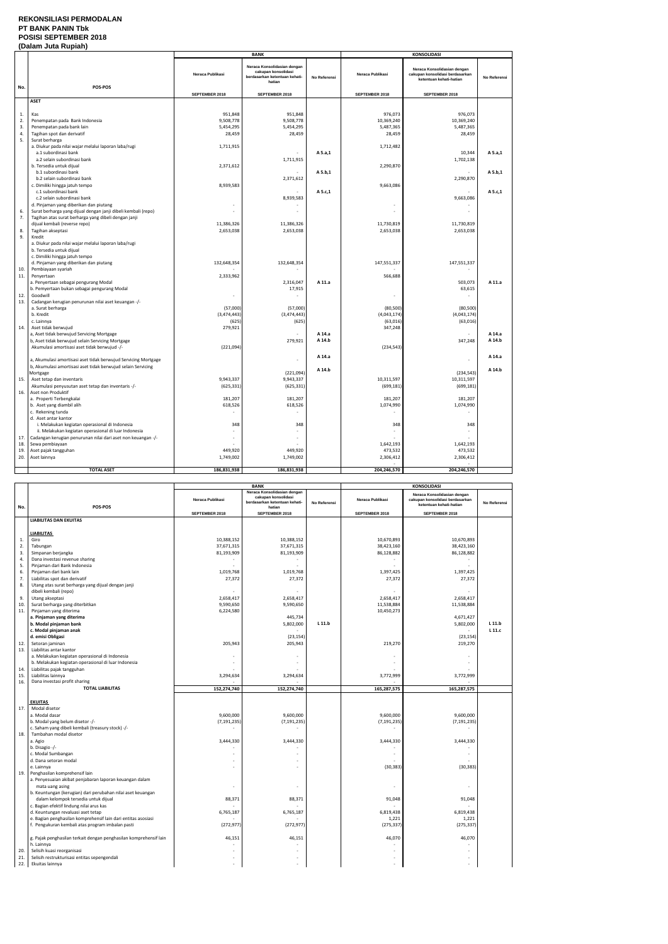### **REKONSILIASI PERMODALAN PT BANK PANIN Tbk POSISI SEPTEMBER 2018**

### **(Dalam Juta Rupiah)**

|     | <b>IPUIUIII VULU INAPIUII</b>                                                    |                  | <b>BANK</b>                                                                                   |              | <b>KONSOLIDASI</b>   |                                                                                           |              |
|-----|----------------------------------------------------------------------------------|------------------|-----------------------------------------------------------------------------------------------|--------------|----------------------|-------------------------------------------------------------------------------------------|--------------|
|     |                                                                                  | Neraca Publikasi | Neraca Konsolidasian dengan<br>cakupan konsolidasi<br>berdasarkan ketentuan kehati-<br>hatian | No Referensi | Neraca Publikasi     | Neraca Konsolidasian dengan<br>cakupan konsolidasi berdasarkan<br>ketentuan kehati-hatian | No Referensi |
| No. | POS-POS                                                                          |                  |                                                                                               |              |                      |                                                                                           |              |
|     |                                                                                  | SEPTEMBER 2018   | SEPTEMBER 2018                                                                                |              | SEPTEMBER 2018       | SEPTEMBER 2018                                                                            |              |
|     | <b>ASET</b>                                                                      |                  |                                                                                               |              |                      |                                                                                           |              |
| 1.  | Kas                                                                              | 951,848          | 951,848                                                                                       |              | 976,073              | 976,073                                                                                   |              |
| 2.  | Penempatan pada Bank Indonesia                                                   | 9,508,778        | 9,508,778                                                                                     |              | 10,369,240           | 10,369,240                                                                                |              |
| 3.  | Penempatan pada bank lain                                                        | 5,454,295        | 5,454,295                                                                                     |              | 5,487,365            | 5,487,365                                                                                 |              |
| 4.  | Tagihan spot dan derivatif                                                       | 28,459           | 28,459                                                                                        |              | 28,459               | 28,459                                                                                    |              |
| 5.  | Surat berharga                                                                   |                  |                                                                                               |              |                      |                                                                                           |              |
|     | a. Diukur pada nilai wajar melalui laporan laba/rugi                             | 1,711,915        |                                                                                               |              | 1,712,482            |                                                                                           |              |
|     | a.1 subordinasi bank                                                             |                  | 1,711,915                                                                                     | A 5.a,1      |                      | 10,344                                                                                    | A 5.a,1      |
|     | a.2 selain subordinasi bank<br>b. Tersedia untuk dijual                          | 2,371,612        |                                                                                               |              | 2,290,870            | 1,702,138                                                                                 |              |
|     | b.1 subordinasi bank                                                             |                  |                                                                                               | A 5.b,1      |                      |                                                                                           | A 5.b,1      |
|     | b.2 selain subordinasi bank                                                      |                  | 2,371,612                                                                                     |              |                      | 2,290,870                                                                                 |              |
|     | c. Dimiliki hingga jatuh tempo                                                   | 8,939,583        |                                                                                               |              | 9,663,086            |                                                                                           |              |
|     | c.1 subordinasi bank                                                             |                  |                                                                                               | A 5.c,1      |                      |                                                                                           | A 5.c,1      |
|     | c.2 selain subordinasi bank                                                      |                  | 8,939,583                                                                                     |              |                      | 9,663,086                                                                                 |              |
|     | d. Pinjaman yang diberikan dan piutang                                           |                  |                                                                                               |              |                      |                                                                                           |              |
| 6.  | Surat berharga yang dijual dengan janji dibeli kembali (repo)                    | $\sim$           |                                                                                               |              |                      |                                                                                           |              |
| 7.  | Tagihan atas surat berharga yang dibeli dengan janji                             |                  |                                                                                               |              |                      |                                                                                           |              |
|     | dijual kembali (reverse repo)                                                    | 11,386,326       | 11,386,326                                                                                    |              | 11,730,819           | 11,730,819                                                                                |              |
| 8.  | Tagihan akseptasi                                                                | 2,653,038        | 2,653,038                                                                                     |              | 2,653,038            | 2,653,038                                                                                 |              |
| 9.  | Kredit                                                                           |                  |                                                                                               |              |                      |                                                                                           |              |
|     | a. Diukur pada nilai wajar melalui laporan laba/rugi<br>b. Tersedia untuk dijual |                  |                                                                                               |              |                      |                                                                                           |              |
|     | c. Dimiliki hingga jatuh tempo                                                   |                  |                                                                                               |              |                      |                                                                                           |              |
|     | d. Pinjaman yang diberikan dan piutang                                           | 132,648,354      | 132,648,354                                                                                   |              | 147,551,337          | 147,551,337                                                                               |              |
| 10. | Pembiayaan syariah                                                               |                  |                                                                                               |              |                      |                                                                                           |              |
| 11. | Penyertaan                                                                       | 2,333,962        |                                                                                               |              | 566,688              |                                                                                           |              |
|     | a. Penyertaan sebagai pengurang Modal                                            |                  | 2,316,047                                                                                     | A 11.a       |                      | 503,073                                                                                   | A 11.a       |
|     | b. Pemyertaan bukan sebagai pengurang Modal                                      |                  | 17,915                                                                                        |              |                      | 63,615                                                                                    |              |
| 12. | Goodwill                                                                         |                  |                                                                                               |              |                      |                                                                                           |              |
| 13. | Cadangan kerugian penurunan nilai aset keuangan -/-                              |                  |                                                                                               |              |                      |                                                                                           |              |
|     | a. Surat berharga                                                                | (57,000)         | (57,000)                                                                                      |              | (80, 500)            | (80, 500)                                                                                 |              |
|     | b. Kredit                                                                        | (3,474,443)      | (3,474,443)                                                                                   |              | (4,043,174)          | (4,043,174)                                                                               |              |
| 14. | c. Lainnya<br>Aset tidak berwujud                                                | (625)<br>279,921 | (625)                                                                                         |              | (63, 016)<br>347,248 | (63,016)                                                                                  |              |
|     | a, Aset tidak berwujud Servicing Mortgage                                        |                  |                                                                                               | A 14.a       |                      |                                                                                           | A 14.a       |
|     | b, Aset tidak berwujud selain Servicing Mortgage                                 |                  | 279,921                                                                                       | A 14.b       |                      | 347,248                                                                                   | A 14.b       |
|     | Akumulasi amortisasi aset tidak berwujud -/-                                     | (221,094)        |                                                                                               |              | (234, 543)           |                                                                                           |              |
|     |                                                                                  |                  |                                                                                               |              |                      |                                                                                           |              |
|     | a, Akumulasi amortisasi aset tidak berwujud Servicing Mortgage                   |                  | $\sim$                                                                                        | A 14.a       |                      | $\blacksquare$                                                                            | A 14.a       |
|     | b, Akumulasi amortisasi aset tidak berwujud selain Servicing                     |                  |                                                                                               | A 14.b       |                      |                                                                                           | A 14.b       |
|     | Mortgage                                                                         |                  | (221,094)                                                                                     |              |                      | (234, 543)                                                                                |              |
| 15. | Aset tetap dan inventaris                                                        | 9,943,337        | 9,943,337                                                                                     |              | 10,311,597           | 10,311,597                                                                                |              |
|     | Akumulasi penyusutan aset tetap dan inventaris -/-                               | (625, 331)       | (625, 331)                                                                                    |              | (699, 181)           | (699, 181)                                                                                |              |
| 16. | Aset non Produktif<br>a. Properti Terbengkalai                                   |                  |                                                                                               |              |                      |                                                                                           |              |
|     |                                                                                  | 181,207          | 181,207                                                                                       |              | 181,207              | 181,207                                                                                   |              |
|     | b. Aset yang diambil alih<br>c. Rekening tunda                                   | 618,526          | 618,526                                                                                       |              | 1,074,990            | 1,074,990                                                                                 |              |
|     | d. Aset antar kantor                                                             |                  |                                                                                               |              |                      |                                                                                           |              |
|     | i. Melakukan kegiatan operasional di Indonesia                                   | 348              | 348                                                                                           |              | 348                  | 348                                                                                       |              |
|     | ii. Melakukan kegiatan operasional di luar Indonesia                             |                  |                                                                                               |              | $\sim$               |                                                                                           |              |
| 17. | Cadangan kerugian penurunan nilai dari aset non keuangan -/-                     |                  |                                                                                               |              |                      |                                                                                           |              |
| 18. | Sewa pembiayaan                                                                  |                  |                                                                                               |              | 1,642,193            | 1,642,193                                                                                 |              |
| 19. | Aset pajak tangguhan                                                             | 449,920          | 449,920                                                                                       |              | 473,532              | 473,532                                                                                   |              |
| 20. | Aset lainnya                                                                     | 1,749,002        | 1,749,002                                                                                     |              | 2,306,412            | 2,306,412                                                                                 |              |
|     | <b>TOTAL ASET</b>                                                                | 186,831,938      | 186,831,938                                                                                   |              | 204,246,570          | 204,246,570                                                                               |              |
|     |                                                                                  |                  |                                                                                               |              |                      |                                                                                           |              |

|            |                                                                            |                          | <b>BANK</b>                                                                         |              |                  | KONSOLIDASI                                                                               |              |
|------------|----------------------------------------------------------------------------|--------------------------|-------------------------------------------------------------------------------------|--------------|------------------|-------------------------------------------------------------------------------------------|--------------|
|            |                                                                            | Neraca Publikasi         | Neraca Konsolidasian dengan<br>cakupan konsolidasi<br>berdasarkan ketentuan kehati- | No Referensi | Neraca Publikasi | Neraca Konsolidasian dengan<br>cakupan konsolidasi berdasarkan<br>ketentuan kehati-hatian | No Referensi |
| No.        | POS-POS                                                                    | SEPTEMBER 2018           | hatian<br>SEPTEMBER 2018                                                            |              | SEPTEMBER 2018   | SEPTEMBER 2018                                                                            |              |
|            | <b>LIABILITAS DAN EKUITAS</b>                                              |                          |                                                                                     |              |                  |                                                                                           |              |
|            |                                                                            |                          |                                                                                     |              |                  |                                                                                           |              |
|            | <b>LIABILITAS</b>                                                          |                          |                                                                                     |              |                  |                                                                                           |              |
| $1.$       | Giro                                                                       | 10,388,152               | 10,388,152                                                                          |              | 10.670.893       | 10,670,893                                                                                |              |
| 2.         | Tabungan                                                                   | 37,671,315               | 37,671,315                                                                          |              | 38,423,160       | 38,423,160                                                                                |              |
| 3.         | Simpanan berjangka                                                         | 81,193,909               | 81,193,909                                                                          |              | 86,128,882       | 86,128,882                                                                                |              |
| 4.         | Dana investasi revenue sharing                                             |                          |                                                                                     |              |                  |                                                                                           |              |
| 5.         | Pinjaman dari Bank Indonesia                                               |                          |                                                                                     |              | $\sim$           |                                                                                           |              |
| 6.         | Pinjaman dari bank lain                                                    | 1,019,768                | 1,019,768                                                                           |              | 1,397,425        | 1,397,425                                                                                 |              |
| 7.         | Liabilitas spot dan derivatif                                              | 27,372                   | 27,372                                                                              |              | 27,372           | 27,372                                                                                    |              |
| 8.         | Utang atas surat berharga yang dijual dengan janji                         |                          |                                                                                     |              |                  |                                                                                           |              |
|            | dibeli kembali (repo)                                                      |                          |                                                                                     |              |                  |                                                                                           |              |
| 9.         | Utang akseptasi                                                            | 2,658,417                | 2,658,417                                                                           |              | 2,658,417        | 2,658,417                                                                                 |              |
| 10.        | Surat berharga yang diterbitkan                                            | 9,590,650                | 9,590,650                                                                           |              | 11,538,884       | 11,538,884                                                                                |              |
| 11.        | Pinjaman yang diterima                                                     | 6,224,580                |                                                                                     |              | 10,450,273       |                                                                                           |              |
|            | a. Pinjaman yang diterima                                                  |                          | 445,734                                                                             |              |                  | 4,671,427                                                                                 |              |
|            | b. Modal pinjaman bank                                                     |                          | 5,802,000                                                                           | $L$ 11.b     |                  | 5,802,000                                                                                 | L 11.b       |
|            | c. Modal pinjaman anak                                                     |                          |                                                                                     |              |                  |                                                                                           | $L$ 11. $c$  |
|            | d. emisi Obligasi                                                          |                          | (23, 154)                                                                           |              |                  | (23, 154)                                                                                 |              |
| 12.        | Setoran jaminan                                                            | 205,943                  | 205,943                                                                             |              | 219,270          | 219,270                                                                                   |              |
| 13.        | Liabilitas antar kantor                                                    |                          |                                                                                     |              |                  |                                                                                           |              |
|            | a. Melakukan kegiatan operasional di Indonesia                             |                          |                                                                                     |              |                  |                                                                                           |              |
|            | b. Melakukan kegiatan operasional di luar Indonesia                        |                          |                                                                                     |              |                  |                                                                                           |              |
| 14.        | Liabilitas pajak tangguhan                                                 |                          |                                                                                     |              |                  |                                                                                           |              |
| 15.        | Liabilitas lainnya                                                         | 3,294,634                | 3,294,634                                                                           |              | 3,772,999        | 3,772,999                                                                                 |              |
| 16.        | Dana investasi profit sharing                                              |                          |                                                                                     |              |                  |                                                                                           |              |
|            | <b>TOTAL LIABILITAS</b>                                                    | 152,274,740              | 152,274,740                                                                         |              | 165,287,575      | 165,287,575                                                                               |              |
|            |                                                                            |                          |                                                                                     |              |                  |                                                                                           |              |
|            | <b>EKUITAS</b>                                                             |                          |                                                                                     |              |                  |                                                                                           |              |
| 17.        | Modal disetor                                                              |                          |                                                                                     |              |                  |                                                                                           |              |
|            | a. Modal dasar                                                             | 9,600,000                | 9,600,000                                                                           |              | 9,600,000        | 9,600,000                                                                                 |              |
|            | b. Modal yang belum disetor -/-                                            | (7, 191, 235)            | (7, 191, 235)                                                                       |              | (7, 191, 235)    | (7, 191, 235)                                                                             |              |
|            | c. Saham yang dibeli kembali (treasury stock) -/-                          | $\overline{\phantom{a}}$ |                                                                                     |              | $\sim$           |                                                                                           |              |
| 18.        | Tambahan modal disetor                                                     |                          |                                                                                     |              |                  |                                                                                           |              |
|            | a. Agio                                                                    | 3,444,330                | 3,444,330                                                                           |              | 3,444,330        | 3,444,330                                                                                 |              |
|            | b. Disagio -/-                                                             |                          |                                                                                     |              | $\sim$           |                                                                                           |              |
|            | c. Modal Sumbangan                                                         |                          |                                                                                     |              |                  |                                                                                           |              |
|            | d. Dana setoran modal                                                      |                          |                                                                                     |              |                  |                                                                                           |              |
|            | e. Lainnya                                                                 |                          |                                                                                     |              | (30, 383)        | (30, 383)                                                                                 |              |
| 19.        | Penghasilan komprehensif lain                                              |                          |                                                                                     |              |                  |                                                                                           |              |
|            | a. Penyesuaian akibat penjabaran laporan keuangan dalam                    |                          |                                                                                     |              |                  |                                                                                           |              |
|            | mata uang asing                                                            |                          |                                                                                     |              |                  | ÷,                                                                                        |              |
|            | b. Keuntungan (kerugian) dari perubahan nilai aset keuangan                |                          |                                                                                     |              |                  |                                                                                           |              |
|            | dalam kelompok tersedia untuk dijual                                       | 88,371                   | 88,371                                                                              |              | 91,048           | 91,048                                                                                    |              |
|            | c. Bagian efektif lindung nilai arus kas                                   |                          |                                                                                     |              |                  |                                                                                           |              |
|            | d. Keuntungan revaluasi aset tetap                                         | 6,765,187                | 6,765,187                                                                           |              | 6,819,438        | 6,819,438                                                                                 |              |
|            | e. Bagian penghasilan komprehensif lain dari entitas asosiasi              |                          |                                                                                     |              | 1,221            | 1,221                                                                                     |              |
|            | f. Pengukuran kembali atas program imbalan pasti                           | (272, 977)               | (272, 977)                                                                          |              | (275, 337)       | (275, 337)                                                                                |              |
|            |                                                                            |                          |                                                                                     |              |                  |                                                                                           |              |
|            | g. Pajak penghasilan terkait dengan penghasilan komprehensif lain          | 46,151                   | 46,151                                                                              |              | 46,070           | 46,070                                                                                    |              |
|            | h. Lainnya                                                                 |                          |                                                                                     |              |                  |                                                                                           |              |
| 20.<br>21. | Selisih kuasi reorganisasi<br>Selisih restrukturisasi entitas sepengendali |                          |                                                                                     |              |                  |                                                                                           |              |
| 22.        | Ekuitas lainnya                                                            |                          |                                                                                     |              |                  |                                                                                           |              |
|            |                                                                            |                          |                                                                                     |              |                  |                                                                                           |              |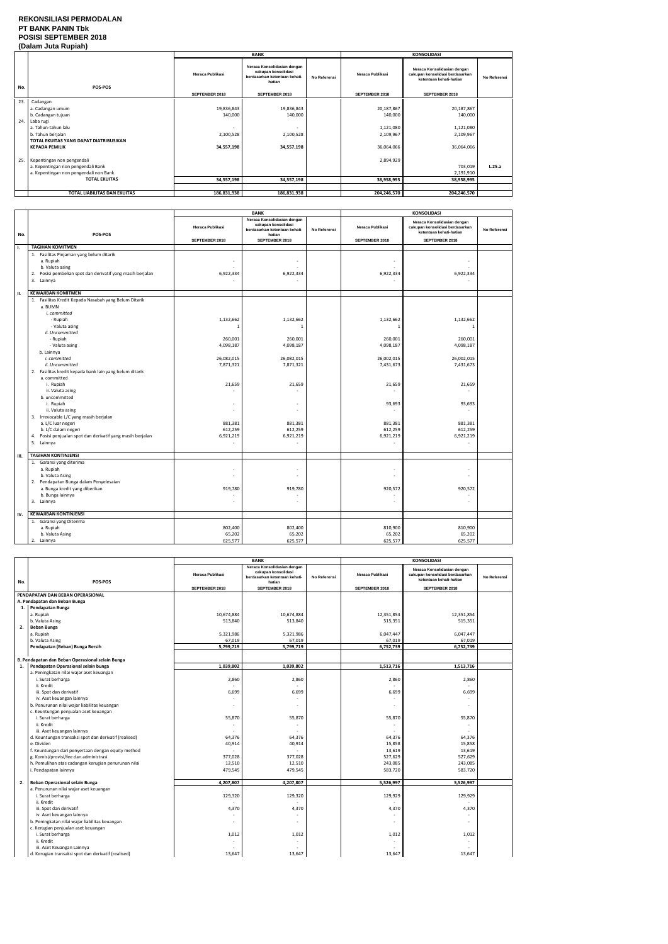#### **REKONSILIASI PERMODALAN PT BANK PANIN Tbk POSISI SEPTEMBER 2018 (Dalam Juta Rupiah)**

|     | (Dalam vula Ruplan)                    |                  |                                                                                               |              |                  |                                                                                           |              |  |
|-----|----------------------------------------|------------------|-----------------------------------------------------------------------------------------------|--------------|------------------|-------------------------------------------------------------------------------------------|--------------|--|
|     |                                        |                  | <b>BANK</b>                                                                                   |              |                  | <b>KONSOLIDASI</b>                                                                        |              |  |
| No. | POS-POS                                | Neraca Publikasi | Neraca Konsolidasian dengan<br>cakupan konsolidasi<br>berdasarkan ketentuan kehati-<br>hatian | No Referensi | Neraca Publikasi | Neraca Konsolidasian dengan<br>cakupan konsolidasi berdasarkan<br>ketentuan kehati-hatian | No Referensi |  |
|     |                                        | SEPTEMBER 2018   | <b>SEPTEMBER 2018</b>                                                                         |              | SEPTEMBER 2018   | SEPTEMBER 2018                                                                            |              |  |
| 23. | Cadangan                               |                  |                                                                                               |              |                  |                                                                                           |              |  |
|     | a. Cadangan umum                       | 19,836,843       | 19,836,843                                                                                    |              | 20,187,867       | 20,187,867                                                                                |              |  |
|     | b. Cadangan tujuan                     | 140,000          | 140,000                                                                                       |              | 140,000          | 140,000                                                                                   |              |  |
|     | 24. Laba rugi                          |                  |                                                                                               |              |                  |                                                                                           |              |  |
|     | a. Tahun-tahun lalu                    |                  |                                                                                               |              | 1,121,080        | 1,121,080                                                                                 |              |  |
|     | b. Tahun berjalan                      | 2,100,528        | 2,100,528                                                                                     |              | 2,109,967        | 2,109,967                                                                                 |              |  |
|     | TOTAL EKUITAS YANG DAPAT DIATRIBUSIKAN |                  |                                                                                               |              |                  |                                                                                           |              |  |
|     | <b>KEPADA PEMILIK</b>                  | 34,557,198       | 34,557,198                                                                                    |              | 36,064,066       | 36,064,066                                                                                |              |  |
|     |                                        |                  |                                                                                               |              |                  |                                                                                           |              |  |
|     | 25. Kepentingan non pengendali         |                  |                                                                                               |              | 2,894,929        |                                                                                           |              |  |
|     | a. Kepentingan non pengendali Bank     |                  |                                                                                               |              |                  | 703,019                                                                                   | L.25.a       |  |
|     | a. Kepentingan non pengendali non Bank |                  |                                                                                               |              |                  | 2,191,910                                                                                 |              |  |
|     | <b>TOTAL EKUITAS</b>                   | 34,557,198       | 34,557,198                                                                                    |              | 38,958,995       | 38,958,995                                                                                |              |  |
|     |                                        |                  |                                                                                               |              |                  |                                                                                           |              |  |
|     | <b>TOTAL LIABILITAS DAN EKUITAS</b>    | 186,831,938      | 186,831,938                                                                                   |              | 204,246,570      | 204,246,570                                                                               |              |  |

|     |                                                                                                                                                                                                                                                                                                                                                                                                                                                                                                                                                       | <b>BANK</b>                                                                                                               |                                                                                                                                                 | <b>KONSOLIDASI</b> |                                                                                                                                    |                                                                                                                                               |              |
|-----|-------------------------------------------------------------------------------------------------------------------------------------------------------------------------------------------------------------------------------------------------------------------------------------------------------------------------------------------------------------------------------------------------------------------------------------------------------------------------------------------------------------------------------------------------------|---------------------------------------------------------------------------------------------------------------------------|-------------------------------------------------------------------------------------------------------------------------------------------------|--------------------|------------------------------------------------------------------------------------------------------------------------------------|-----------------------------------------------------------------------------------------------------------------------------------------------|--------------|
| No. | POS-POS                                                                                                                                                                                                                                                                                                                                                                                                                                                                                                                                               | Neraca Publikasi                                                                                                          | Neraca Konsolidasian dengan<br>cakupan konsolidasi<br>berdasarkan ketentuan kehati-<br>hatian                                                   | No Referensi       | <b>Neraca Publikasi</b>                                                                                                            | Neraca Konsolidasian dengan<br>cakupan konsolidasi berdasarkan<br>ketentuan kehati-hatian                                                     | No Referensi |
|     |                                                                                                                                                                                                                                                                                                                                                                                                                                                                                                                                                       | SEPTEMBER 2018                                                                                                            | SEPTEMBER 2018                                                                                                                                  |                    | SEPTEMBER 2018                                                                                                                     | SEPTEMBER 2018                                                                                                                                |              |
| Ι.  | <b>TAGIHAN KOMITMEN</b>                                                                                                                                                                                                                                                                                                                                                                                                                                                                                                                               |                                                                                                                           |                                                                                                                                                 |                    |                                                                                                                                    |                                                                                                                                               |              |
|     | 1. Fasilitas Pinjaman yang belum ditarik<br>a. Rupiah<br>b. Valuta asing<br>Posisi pembelian spot dan derivatif yang masih berjalan<br>2.<br>3. Lainnya                                                                                                                                                                                                                                                                                                                                                                                               | 6,922,334                                                                                                                 | ÷,<br>6,922,334                                                                                                                                 |                    | 6,922,334                                                                                                                          | $\sim$<br>6,922,334                                                                                                                           |              |
| н.  | <b>KEWAJIBAN KOMITMEN</b>                                                                                                                                                                                                                                                                                                                                                                                                                                                                                                                             |                                                                                                                           |                                                                                                                                                 |                    |                                                                                                                                    |                                                                                                                                               |              |
|     | 1. Fasilitas Kredit Kepada Nasabah yang Belum Ditarik<br>a. BUMN<br>i. committed<br>- Rupiah<br>- Valuta asing<br>ii. Uncommitted<br>- Rupiah<br>- Valuta asing<br>b. Lainnya<br>i. committed<br>ii. Uncommitted<br>2. Fasilitas kredit kepada bank lain yang belum ditarik<br>a. committed<br>i. Rupiah<br>ii. Valuta asing<br>b. uncommitted<br>i. Rupiah<br>ii. Valuta asing<br>3. Irrevocable L/C yang masih berjalan<br>a. L/C luar negeri<br>b. L/C dalam negeri<br>Posisi penjualan spot dan derivatif yang masih berjalan<br>4.<br>5. Lainnya | 1,132,662<br>$\mathbf{1}$<br>260,001<br>4,098,187<br>26,082,015<br>7,871,321<br>21,659<br>881,381<br>612,259<br>6,921,219 | 1,132,662<br>$\mathbf{1}$<br>260,001<br>4,098,187<br>26,082,015<br>7,871,321<br>21,659<br>$\sim$<br>ä,<br>881,381<br>612,259<br>6,921,219<br>÷, |                    | 1,132,662<br>1<br>260,001<br>4,098,187<br>26,002,015<br>7,431,673<br>21,659<br>93,693<br>881,381<br>612,259<br>6,921,219<br>$\sim$ | 1,132,662<br>$\mathbf{1}$<br>260,001<br>4,098,187<br>26,002,015<br>7,431,673<br>21,659<br>93,693<br>881,381<br>612,259<br>6,921,219<br>$\sim$ |              |
|     |                                                                                                                                                                                                                                                                                                                                                                                                                                                                                                                                                       |                                                                                                                           |                                                                                                                                                 |                    |                                                                                                                                    |                                                                                                                                               |              |
| Ш.  | <b>TAGIHAN KONTINJENSI</b><br>1. Garansi yang diterima<br>a. Rupiah<br>b. Valuta Asing<br>2. Pendapatan Bunga dalam Penyelesaian<br>a. Bunga kredit yang diberikan<br>b. Bunga lainnya<br>3. Lainnya                                                                                                                                                                                                                                                                                                                                                  | 919,780                                                                                                                   | ٠<br>ä,<br>919,780<br>÷,                                                                                                                        |                    | 920,572                                                                                                                            | ٠<br>920,572                                                                                                                                  |              |
|     |                                                                                                                                                                                                                                                                                                                                                                                                                                                                                                                                                       |                                                                                                                           |                                                                                                                                                 |                    |                                                                                                                                    |                                                                                                                                               |              |
| IV. | <b>KEWAJIBAN KONTINJENSI</b>                                                                                                                                                                                                                                                                                                                                                                                                                                                                                                                          |                                                                                                                           |                                                                                                                                                 |                    |                                                                                                                                    |                                                                                                                                               |              |
|     | 1. Garansi yang Diterima<br>a. Rupiah<br>b. Valuta Asing<br>2. Lainnya                                                                                                                                                                                                                                                                                                                                                                                                                                                                                | 802,400<br>65,202<br>625,577                                                                                              | 802,400<br>65,202<br>625,577                                                                                                                    |                    | 810,900<br>65,202<br>625,577                                                                                                       | 810,900<br>65,202<br>625,577                                                                                                                  |              |

|     |                                                       |                  | <b>BANK</b>                                                                                   |              |                         | <b>KONSOLIDASI</b>                                                                        |              |
|-----|-------------------------------------------------------|------------------|-----------------------------------------------------------------------------------------------|--------------|-------------------------|-------------------------------------------------------------------------------------------|--------------|
| No. | POS-POS                                               | Neraca Publikasi | Neraca Konsolidasian dengan<br>cakupan konsolidasi<br>berdasarkan ketentuan kehati-<br>hatian | No Referensi | <b>Neraca Publikasi</b> | Neraca Konsolidasian dengan<br>cakupan konsolidasi berdasarkan<br>ketentuan kehati-hatian | No Referensi |
|     |                                                       | SEPTEMBER 2018   | SEPTEMBER 2018                                                                                |              | SEPTEMBER 2018          | SEPTEMBER 2018                                                                            |              |
|     | PENDAPATAN DAN BEBAN OPERASIONAL                      |                  |                                                                                               |              |                         |                                                                                           |              |
|     | A. Pendapatan dan Beban Bunga                         |                  |                                                                                               |              |                         |                                                                                           |              |
|     | 1. Pendapatan Bunga                                   |                  |                                                                                               |              |                         |                                                                                           |              |
|     | a. Rupiah                                             | 10,674,884       | 10,674,884                                                                                    |              | 12,351,854              | 12,351,854                                                                                |              |
|     | b. Valuta Asing                                       | 513,840          | 513,840                                                                                       |              | 515,351                 | 515,351                                                                                   |              |
| 2.  | <b>Beban Bunga</b>                                    |                  |                                                                                               |              |                         |                                                                                           |              |
|     | a. Rupiah                                             | 5,321,986        | 5,321,986                                                                                     |              | 6,047,447               | 6,047,447                                                                                 |              |
|     | b. Valuta Asing                                       | 67,019           | 67,019                                                                                        |              | 67,019                  | 67,019                                                                                    |              |
|     | Pendapatan (Beban) Bunga Bersih                       | 5,799,719        | 5,799,719                                                                                     |              | 6,752,739               | 6,752,739                                                                                 |              |
|     |                                                       |                  |                                                                                               |              |                         |                                                                                           |              |
|     | B. Pendapatan dan Beban Operasional selain Bunga      |                  |                                                                                               |              |                         |                                                                                           |              |
| 1.  | Pendapatan Operasional selain bunga                   | 1,039,802        | 1,039,802                                                                                     |              | 1,513,716               | 1,513,716                                                                                 |              |
|     | a. Peningkatan nilai wajar aset keuangan              |                  |                                                                                               |              |                         |                                                                                           |              |
|     | i. Surat berharga                                     | 2,860            | 2,860                                                                                         |              | 2,860                   | 2,860                                                                                     |              |
|     | ii. Kredit                                            |                  |                                                                                               |              |                         |                                                                                           |              |
|     | iii. Spot dan derivatif                               | 6,699            | 6,699                                                                                         |              | 6,699                   | 6,699                                                                                     |              |
|     | iv. Aset keuangan lainnya                             |                  |                                                                                               |              |                         |                                                                                           |              |
|     | b. Penurunan nilai wajar liabilitas keuangan          |                  |                                                                                               |              |                         |                                                                                           |              |
|     | c. Keuntungan penjualan aset keuangan                 |                  |                                                                                               |              |                         |                                                                                           |              |
|     | i. Surat berharga                                     | 55,870           | 55,870                                                                                        |              | 55,870                  | 55,870                                                                                    |              |
|     | ii. Kredit                                            |                  |                                                                                               |              |                         |                                                                                           |              |
|     | iii. Aset keuangan lainnya                            |                  |                                                                                               |              |                         | $\sim$                                                                                    |              |
|     | d. Keuntungan transaksi spot dan derivatif (realised) | 64,376           | 64,376                                                                                        |              | 64,376                  | 64,376                                                                                    |              |
|     | e. Dividen                                            | 40,914           | 40,914                                                                                        |              | 15,858                  | 15,858                                                                                    |              |
|     | f. Keuntungan dari penyertaan dengan equity method    |                  |                                                                                               |              | 13,619                  | 13,619                                                                                    |              |
|     | g. Komisi/provisi/fee dan administrasi                | 377,028          | 377,028                                                                                       |              | 527,629                 | 527,629                                                                                   |              |
|     | h. Pemulihan atas cadangan kerugian penurunan nilai   | 12,510           | 12,510                                                                                        |              | 243,085                 | 243,085                                                                                   |              |
|     | i. Pendapatan lainnya                                 | 479,545          | 479,545                                                                                       |              | 583,720                 | 583,720                                                                                   |              |
|     |                                                       |                  |                                                                                               |              |                         |                                                                                           |              |
| 2.  | Beban Operasional selain Bunga                        | 4,207,807        | 4,207,807                                                                                     |              | 5,526,997               | 5,526,997                                                                                 |              |
|     | a. Penurunan nilai wajar aset keuangan                |                  |                                                                                               |              |                         |                                                                                           |              |
|     | i. Surat berharga                                     | 129,320          | 129,320                                                                                       |              | 129,929                 | 129,929                                                                                   |              |
|     | ii. Kredit                                            |                  |                                                                                               |              |                         |                                                                                           |              |
|     | iii. Spot dan derivatif                               | 4,370            | 4,370                                                                                         |              | 4,370                   | 4,370                                                                                     |              |
|     | iv. Aset keuangan lainnya                             |                  |                                                                                               |              |                         | $\sim$                                                                                    |              |
|     | b. Peningkatan nilai wajar liabilitas keuangan        |                  | ٠                                                                                             |              |                         | $\overline{\phantom{a}}$                                                                  |              |
|     | c. Kerugian penjualan aset keuangan                   |                  |                                                                                               |              |                         |                                                                                           |              |
|     | i. Surat berharga                                     | 1,012            | 1,012                                                                                         |              | 1,012                   | 1,012                                                                                     |              |
|     | ii. Kredit                                            |                  |                                                                                               |              |                         |                                                                                           |              |
|     | iii. Aset Keuangan Lainnya                            |                  |                                                                                               |              |                         |                                                                                           |              |
|     | d. Kerugian transaksi spot dan derivatif (realised)   | 13,647           | 13,647                                                                                        |              | 13,647                  | 13,647                                                                                    |              |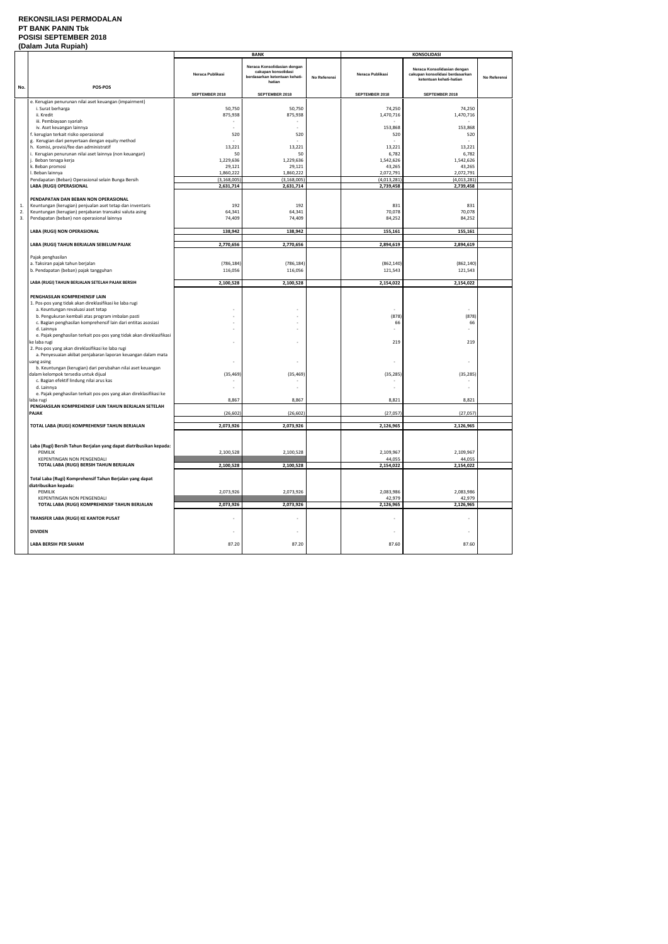#### **REKONSILIASI PERMODALAN PT BANK PANIN Tbk POSISI SEPTEMBER 2018 (Dalam Juta Rupiah)**

|     | (Dalahi Jula Nuplan)                                                                                                                                                                                                                                                                                                                                                                                                                                                                                                                                                                                                         |                          | <b>BANK</b>                                                                                   |              | <b>KONSOLIDASI</b>                        |                                                                                           |              |
|-----|------------------------------------------------------------------------------------------------------------------------------------------------------------------------------------------------------------------------------------------------------------------------------------------------------------------------------------------------------------------------------------------------------------------------------------------------------------------------------------------------------------------------------------------------------------------------------------------------------------------------------|--------------------------|-----------------------------------------------------------------------------------------------|--------------|-------------------------------------------|-------------------------------------------------------------------------------------------|--------------|
|     |                                                                                                                                                                                                                                                                                                                                                                                                                                                                                                                                                                                                                              | Neraca Publikasi         | Neraca Konsolidasian dengan<br>cakupan konsolidasi<br>berdasarkan ketentuan kehati-<br>hatian | No Referensi | Neraca Publikasi                          | Neraca Konsolidasian dengan<br>cakupan konsolidasi berdasarkan<br>ketentuan kehati-hatian | No Referensi |
| No. | POS-POS                                                                                                                                                                                                                                                                                                                                                                                                                                                                                                                                                                                                                      | SEPTEMBER 2018           | SEPTEMBER 2018                                                                                |              | SEPTEMBER 2018                            | SEPTEMBER 2018                                                                            |              |
|     | e. Kerugian penurunan nilai aset keuangan (impairment)                                                                                                                                                                                                                                                                                                                                                                                                                                                                                                                                                                       |                          |                                                                                               |              |                                           |                                                                                           |              |
|     | i. Surat berharga                                                                                                                                                                                                                                                                                                                                                                                                                                                                                                                                                                                                            | 50,750                   | 50,750                                                                                        |              | 74,250                                    | 74,250                                                                                    |              |
|     | ii. Kredit                                                                                                                                                                                                                                                                                                                                                                                                                                                                                                                                                                                                                   | 875,938                  | 875,938                                                                                       |              | 1,470,716                                 | 1,470,716                                                                                 |              |
|     | iii. Pembiayaan syariah                                                                                                                                                                                                                                                                                                                                                                                                                                                                                                                                                                                                      |                          |                                                                                               |              |                                           |                                                                                           |              |
|     | iv. Aset keuangan lainnya<br>f. kerugian terkait risiko operasional                                                                                                                                                                                                                                                                                                                                                                                                                                                                                                                                                          | 520                      | 520                                                                                           |              | 153,868<br>520                            | 153,868<br>520                                                                            |              |
|     | g. Kerugian dari penyertaan dengan equity method                                                                                                                                                                                                                                                                                                                                                                                                                                                                                                                                                                             |                          |                                                                                               |              |                                           |                                                                                           |              |
|     | h. Komisi, provisi/fee dan administratif                                                                                                                                                                                                                                                                                                                                                                                                                                                                                                                                                                                     | 13,221                   | 13,221                                                                                        |              | 13,221                                    | 13,221                                                                                    |              |
|     | i. Kerugian penurunan nilai aset lainnya (non keuangan)                                                                                                                                                                                                                                                                                                                                                                                                                                                                                                                                                                      | 50                       | 50                                                                                            |              | 6,782                                     | 6,782                                                                                     |              |
|     | j. Beban tenaga kerja                                                                                                                                                                                                                                                                                                                                                                                                                                                                                                                                                                                                        | 1,229,636                | 1,229,636                                                                                     |              | 1,542,626                                 | 1,542,626                                                                                 |              |
|     | k. Beban promosi                                                                                                                                                                                                                                                                                                                                                                                                                                                                                                                                                                                                             | 29,121                   | 29,121                                                                                        |              | 43,265                                    | 43,265                                                                                    |              |
|     | I. Beban lainnya                                                                                                                                                                                                                                                                                                                                                                                                                                                                                                                                                                                                             | 1,860,222                | 1,860,222                                                                                     |              | 2,072,791                                 | 2,072,791                                                                                 |              |
|     | Pendapatan (Beban) Operasional selain Bunga Bersih<br>LABA (RUGI) OPERASIONAL                                                                                                                                                                                                                                                                                                                                                                                                                                                                                                                                                | (3, 168, 005)            | (3, 168, 005)<br>2,631,714                                                                    |              | (4,013,281)                               | (4,013,281)                                                                               |              |
|     |                                                                                                                                                                                                                                                                                                                                                                                                                                                                                                                                                                                                                              | 2,631,714                |                                                                                               |              | 2,739,458                                 | 2,739,458                                                                                 |              |
|     | PENDAPATAN DAN BEBAN NON OPERASIONAL                                                                                                                                                                                                                                                                                                                                                                                                                                                                                                                                                                                         |                          |                                                                                               |              |                                           |                                                                                           |              |
| 1.  | Keuntungan (kerugian) penjualan aset tetap dan inventaris                                                                                                                                                                                                                                                                                                                                                                                                                                                                                                                                                                    | 192                      | 192                                                                                           |              | 831                                       | 831                                                                                       |              |
| 2.  | Keuntungan (kerugian) penjabaran transaksi valuta asing                                                                                                                                                                                                                                                                                                                                                                                                                                                                                                                                                                      | 64,341                   | 64,341                                                                                        |              | 70,078                                    | 70,078                                                                                    |              |
| 3.  | Pendapatan (beban) non operasional lainnya                                                                                                                                                                                                                                                                                                                                                                                                                                                                                                                                                                                   | 74,409                   | 74,409                                                                                        |              | 84,252                                    | 84,252                                                                                    |              |
|     |                                                                                                                                                                                                                                                                                                                                                                                                                                                                                                                                                                                                                              |                          |                                                                                               |              |                                           |                                                                                           |              |
|     | LABA (RUGI) NON OPERASIONAL                                                                                                                                                                                                                                                                                                                                                                                                                                                                                                                                                                                                  | 138,942                  | 138,942                                                                                       |              | 155,161                                   | 155,161                                                                                   |              |
|     | LABA (RUGI) TAHUN BERJALAN SEBELUM PAJAK                                                                                                                                                                                                                                                                                                                                                                                                                                                                                                                                                                                     | 2,770,656                | 2,770,656                                                                                     |              | 2,894,619                                 | 2,894,619                                                                                 |              |
|     | Pajak penghasilan                                                                                                                                                                                                                                                                                                                                                                                                                                                                                                                                                                                                            |                          |                                                                                               |              |                                           |                                                                                           |              |
|     | a. Taksiran pajak tahun berjalan                                                                                                                                                                                                                                                                                                                                                                                                                                                                                                                                                                                             | (786, 184)               | (786, 184)                                                                                    |              | (862, 140)                                | (862, 140)                                                                                |              |
|     | b. Pendapatan (beban) pajak tangguhan                                                                                                                                                                                                                                                                                                                                                                                                                                                                                                                                                                                        | 116,056                  | 116,056                                                                                       |              | 121,543                                   | 121,543                                                                                   |              |
|     |                                                                                                                                                                                                                                                                                                                                                                                                                                                                                                                                                                                                                              |                          |                                                                                               |              |                                           |                                                                                           |              |
|     | LABA (RUGI) TAHUN BERJALAN SETELAH PAJAK BERSIH                                                                                                                                                                                                                                                                                                                                                                                                                                                                                                                                                                              | 2,100,528                | 2,100,528                                                                                     |              | 2,154,022                                 | 2,154,022                                                                                 |              |
|     | 1. Pos-pos yang tidak akan direklasifikasi ke laba rugi<br>a. Keuntungan revaluasi aset tetap<br>b. Pengukuran kembali atas program imbalan pasti<br>c. Bagian penghasilan komprehensif lain dari entitas asosiasi<br>d. Lainnya<br>e. Pajak penghasilan terkait pos-pos yang tidak akan direklasifikasi<br>ke laba rugi<br>2. Pos-pos yang akan direklasifikasi ke laba rugi<br>a. Penyesuaian akibat penjabaran laporan keuangan dalam mata<br>uang asing<br>b. Keuntungan (kerugian) dari perubahan nilai aset keuangan<br>dalam kelompok tersedia untuk dijual<br>c. Bagian efektif lindung nilai arus kas<br>d. Lainnya | (35, 469)                | (35, 469)                                                                                     |              | (878)<br>66<br>$\sim$<br>219<br>(35, 285) | (878)<br>66<br>$\sim$<br>219<br>$\overline{\phantom{a}}$<br>(35, 285)                     |              |
|     | e. Pajak penghasilan terkait pos-pos yang akan direklasifikasi ke                                                                                                                                                                                                                                                                                                                                                                                                                                                                                                                                                            | 8,867                    | 8,867                                                                                         |              | 8,821                                     | 8,821                                                                                     |              |
|     | laba rugi<br>PENGHASILAN KOMPREHENSIF LAIN TAHUN BERJALAN SETELAH                                                                                                                                                                                                                                                                                                                                                                                                                                                                                                                                                            |                          |                                                                                               |              |                                           |                                                                                           |              |
|     | PAJAK                                                                                                                                                                                                                                                                                                                                                                                                                                                                                                                                                                                                                        | (26, 602)                | (26, 602)                                                                                     |              | (27, 057)                                 | (27, 057)                                                                                 |              |
|     | TOTAL LABA (RUGI) KOMPREHENSIF TAHUN BERJALAN                                                                                                                                                                                                                                                                                                                                                                                                                                                                                                                                                                                | 2,073,926                | 2,073,926                                                                                     |              | 2,126,965                                 | 2,126,965                                                                                 |              |
|     |                                                                                                                                                                                                                                                                                                                                                                                                                                                                                                                                                                                                                              |                          |                                                                                               |              |                                           |                                                                                           |              |
|     | Laba (Rugi) Bersih Tahun Berjalan yang dapat diatribusikan kepada:<br>PEMILIK<br><b>KEPENTINGAN NON PENGENDALI</b><br>TOTAL LABA (RUGI) BERSIH TAHUN BERJALAN                                                                                                                                                                                                                                                                                                                                                                                                                                                                | 2,100,528                | 2,100,528                                                                                     |              | 2,109,967<br>44,055<br>2,154,022          | 2,109,967<br>44,055                                                                       |              |
|     |                                                                                                                                                                                                                                                                                                                                                                                                                                                                                                                                                                                                                              | 2,100,528                | 2,100,528                                                                                     |              |                                           | 2,154,022                                                                                 |              |
|     | Total Laba (Rugi) Komprehensif Tahun Berjalan yang dapat<br>diatribusikan kepada:<br>PEMILIK<br>KEPENTINGAN NON PENGENDALI<br>TOTAL LABA (RUGI) KOMPREHENSIF TAHUN BERJALAN                                                                                                                                                                                                                                                                                                                                                                                                                                                  | 2,073,926<br>2,073,926   | 2,073,926<br>2,073,926                                                                        |              | 2,083,986<br>42,979<br>2,126,965          | 2,083,986<br>42,979<br>2,126,965                                                          |              |
|     |                                                                                                                                                                                                                                                                                                                                                                                                                                                                                                                                                                                                                              |                          |                                                                                               |              |                                           |                                                                                           |              |
|     | TRANSFER LABA (RUGI) KE KANTOR PUSAT                                                                                                                                                                                                                                                                                                                                                                                                                                                                                                                                                                                         |                          |                                                                                               |              |                                           | $\overline{a}$                                                                            |              |
|     | <b>DIVIDEN</b>                                                                                                                                                                                                                                                                                                                                                                                                                                                                                                                                                                                                               | $\overline{\phantom{a}}$ | $\overline{\phantom{a}}$                                                                      |              |                                           | $\overline{\phantom{a}}$                                                                  |              |
|     | LABA BERSIH PER SAHAM                                                                                                                                                                                                                                                                                                                                                                                                                                                                                                                                                                                                        | 87.20                    | 87.20                                                                                         |              | 87.60                                     | 87.60                                                                                     |              |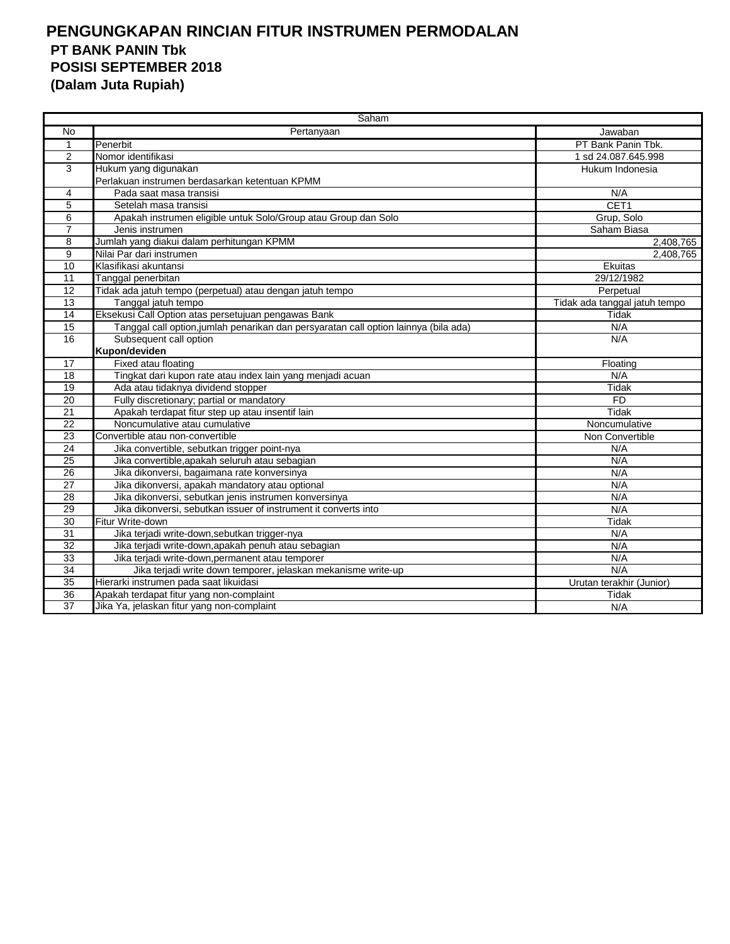| Saham           |                                                                                      |                               |  |  |  |
|-----------------|--------------------------------------------------------------------------------------|-------------------------------|--|--|--|
| <b>No</b>       | Pertanyaan                                                                           | Jawaban                       |  |  |  |
| 1               | Penerbit                                                                             | PT Bank Panin Tbk.            |  |  |  |
| $\overline{2}$  | Nomor identifikasi                                                                   | 1 sd 24.087.645.998           |  |  |  |
| 3               | Hukum yang digunakan                                                                 | Hukum Indonesia               |  |  |  |
|                 | Perlakuan instrumen berdasarkan ketentuan KPMM                                       |                               |  |  |  |
| 4               | Pada saat masa transisi                                                              | N/A                           |  |  |  |
| 5               | Setelah masa transisi                                                                | CET1                          |  |  |  |
| 6               | Apakah instrumen eligible untuk Solo/Group atau Group dan Solo                       | Grup, Solo                    |  |  |  |
| $\overline{7}$  | Jenis instrumen                                                                      | Saham Biasa                   |  |  |  |
| 8               | Jumlah yang diakui dalam perhitungan KPMM                                            | 2,408,765                     |  |  |  |
| 9               | Nilai Par dari instrumen                                                             | 2,408,765                     |  |  |  |
| $\overline{10}$ | Klasifikasi akuntansi                                                                | Ekuitas                       |  |  |  |
| 11              | Tanggal penerbitan                                                                   | 29/12/1982                    |  |  |  |
| 12              | Tidak ada jatuh tempo (perpetual) atau dengan jatuh tempo                            | Perpetual                     |  |  |  |
| 13              | Tanggal jatuh tempo                                                                  | Tidak ada tanggal jatuh tempo |  |  |  |
| $\overline{14}$ | Eksekusi Call Option atas persetujuan pengawas Bank                                  | Tidak                         |  |  |  |
| 15              | Tanggal call option, jumlah penarikan dan persyaratan call option lainnya (bila ada) | N/A                           |  |  |  |
| 16              | Subsequent call option                                                               | N/A                           |  |  |  |
|                 | Kupon/deviden                                                                        |                               |  |  |  |
| 17              | Fixed atau floating                                                                  | Floating                      |  |  |  |
| 18              | Tingkat dari kupon rate atau index lain yang menjadi acuan                           | N/A                           |  |  |  |
| $\overline{19}$ | Ada atau tidaknya dividend stopper                                                   | Tidak                         |  |  |  |
| 20              | Fully discretionary; partial or mandatory                                            | <b>FD</b>                     |  |  |  |
| $\overline{21}$ | Apakah terdapat fitur step up atau insentif lain                                     | Tidak                         |  |  |  |
| 22              | Noncumulative atau cumulative                                                        | Noncumulative                 |  |  |  |
| $\overline{23}$ | Convertible atau non-convertible                                                     | Non Convertible               |  |  |  |
| $\overline{24}$ | Jika convertible, sebutkan trigger point-nya                                         | N/A                           |  |  |  |
| 25              | Jika convertible, apakah seluruh atau sebagian                                       | N/A                           |  |  |  |
| 26              | Jika dikonversi, bagaimana rate konversinya                                          | N/A                           |  |  |  |
| 27              | Jika dikonversi, apakah mandatory atau optional                                      | N/A                           |  |  |  |
| $\overline{28}$ | Jika dikonversi, sebutkan jenis instrumen konversinya                                | N/A                           |  |  |  |
| 29              | Jika dikonversi, sebutkan issuer of instrument it converts into                      | N/A                           |  |  |  |
| $\overline{30}$ | Fitur Write-down                                                                     | Tidak                         |  |  |  |
| 31              | Jika terjadi write-down, sebutkan trigger-nya                                        | N/A                           |  |  |  |
| $\overline{32}$ | Jika terjadi write-down, apakah penuh atau sebagian                                  | N/A                           |  |  |  |
| $\overline{33}$ | Jika terjadi write-down, permanent atau temporer                                     | N/A                           |  |  |  |
| $\overline{34}$ | Jika terjadi write down temporer, jelaskan mekanisme write-up                        | N/A                           |  |  |  |
| 35              | Hierarki instrumen pada saat likuidasi                                               | Urutan terakhir (Junior)      |  |  |  |
| 36              | Apakah terdapat fitur yang non-complaint                                             | Tidak                         |  |  |  |
| $\overline{37}$ | Jika Ya, jelaskan fitur yang non-complaint                                           | N/A                           |  |  |  |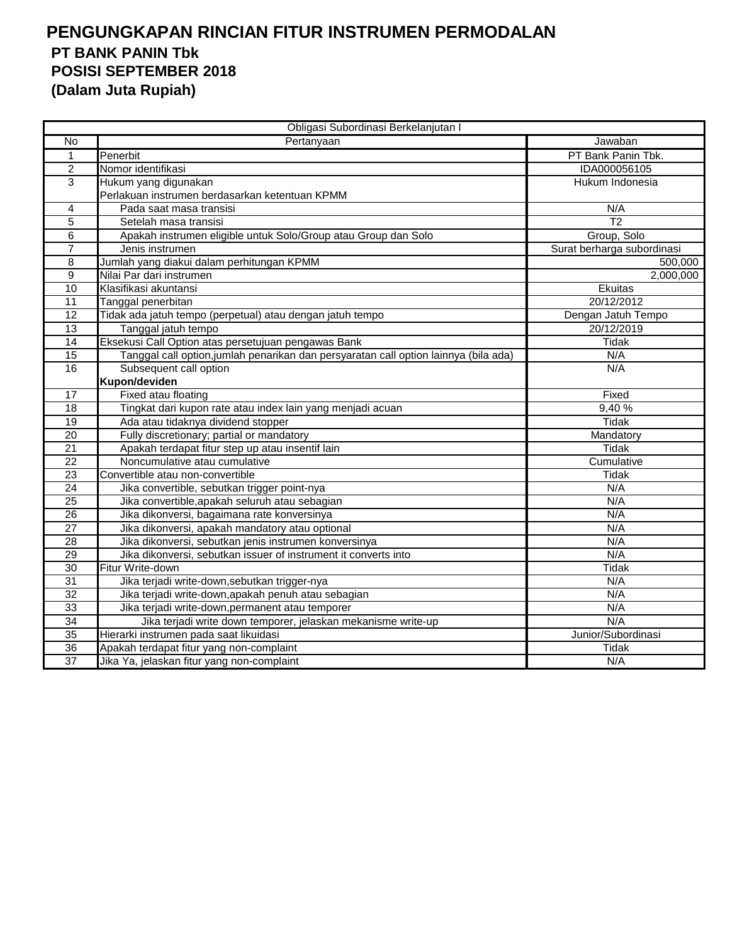|                 | Obligasi Subordinasi Berkelanjutan I                                                 |                            |
|-----------------|--------------------------------------------------------------------------------------|----------------------------|
| No              | Pertanyaan                                                                           | Jawaban                    |
| $\mathbf{1}$    | Penerbit                                                                             | PT Bank Panin Tbk.         |
| $\overline{2}$  | Nomor identifikasi                                                                   | IDA000056105               |
| 3               | Hukum yang digunakan                                                                 | Hukum Indonesia            |
|                 | Perlakuan instrumen berdasarkan ketentuan KPMM                                       |                            |
| 4               | Pada saat masa transisi                                                              | N/A                        |
| $\overline{5}$  | Setelah masa transisi                                                                | $\overline{12}$            |
| 6               | Apakah instrumen eligible untuk Solo/Group atau Group dan Solo                       | Group, Solo                |
| $\overline{7}$  | Jenis instrumen                                                                      | Surat berharga subordinasi |
| 8               | Jumlah yang diakui dalam perhitungan KPMM                                            | 500,000                    |
| 9               | Nilai Par dari instrumen                                                             | 2,000,000                  |
| 10              | Klasifikasi akuntansi                                                                | Ekuitas                    |
| 11              | Tanggal penerbitan                                                                   | 20/12/2012                 |
| 12              | Tidak ada jatuh tempo (perpetual) atau dengan jatuh tempo                            | Dengan Jatuh Tempo         |
| 13              | Tanggal jatuh tempo                                                                  | 20/12/2019                 |
| 14              | Eksekusi Call Option atas persetujuan pengawas Bank                                  | Tidak                      |
| 15              | Tanggal call option, jumlah penarikan dan persyaratan call option lainnya (bila ada) | N/A                        |
| 16              | Subsequent call option                                                               | N/A                        |
|                 | Kupon/deviden                                                                        |                            |
| 17              | Fixed atau floating                                                                  | Fixed                      |
| 18              | Tingkat dari kupon rate atau index lain yang menjadi acuan                           | 9,40%                      |
| 19              | Ada atau tidaknya dividend stopper                                                   | <b>Tidak</b>               |
| $\overline{20}$ | Fully discretionary; partial or mandatory                                            | Mandatory                  |
| 21              | Apakah terdapat fitur step up atau insentif lain                                     | <b>Tidak</b>               |
| $\overline{22}$ | Noncumulative atau cumulative                                                        | Cumulative                 |
| 23              | Convertible atau non-convertible                                                     | Tidak                      |
| 24              | Jika convertible, sebutkan trigger point-nya                                         | N/A                        |
| 25              | Jika convertible, apakah seluruh atau sebagian                                       | N/A                        |
| 26              | Jika dikonversi, bagaimana rate konversinya                                          | N/A                        |
| $\overline{27}$ | Jika dikonversi, apakah mandatory atau optional                                      | N/A                        |
| 28              | Jika dikonversi, sebutkan jenis instrumen konversinya                                | N/A                        |
| 29              | Jika dikonversi, sebutkan issuer of instrument it converts into                      | N/A                        |
| 30              | Fitur Write-down                                                                     | <b>Tidak</b>               |
| 31              | Jika terjadi write-down, sebutkan trigger-nya                                        | N/A                        |
| $\overline{32}$ | Jika terjadi write-down, apakah penuh atau sebagian                                  | N/A                        |
| 33              | Jika terjadi write-down, permanent atau temporer                                     | N/A                        |
| 34              | Jika terjadi write down temporer, jelaskan mekanisme write-up                        | N/A                        |
| 35              | Hierarki instrumen pada saat likuidasi                                               | Junior/Subordinasi         |
| 36              | Apakah terdapat fitur yang non-complaint                                             | Tidak                      |
| 37              | Jika Ya, jelaskan fitur yang non-complaint                                           | N/A                        |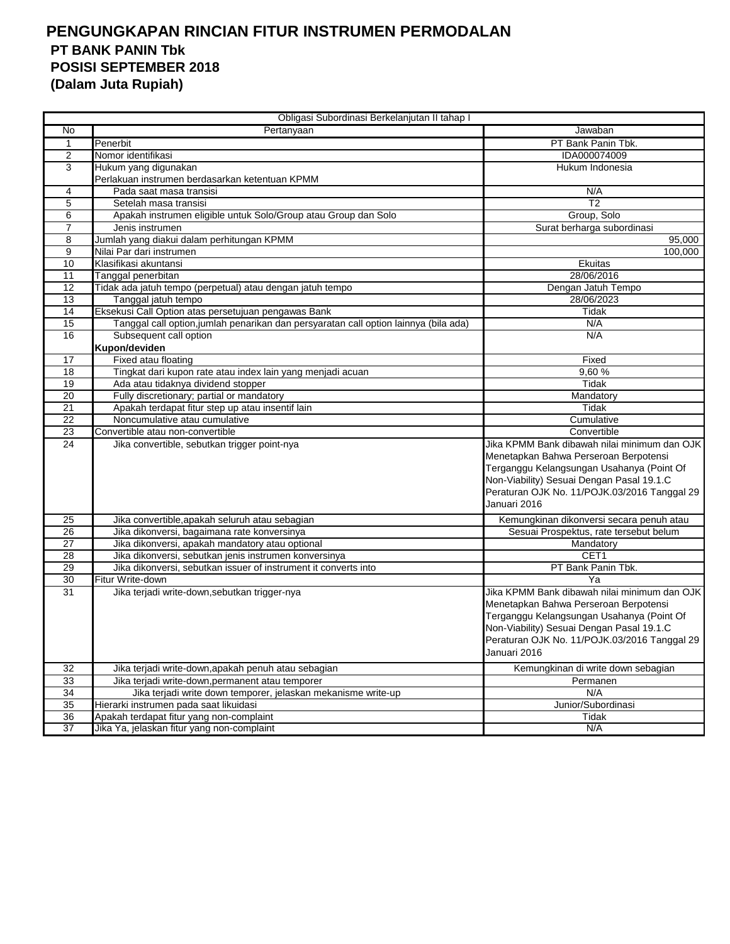|                 | Obligasi Subordinasi Berkelanjutan II tahap I                                        |                                              |
|-----------------|--------------------------------------------------------------------------------------|----------------------------------------------|
| No              | Pertanyaan                                                                           | Jawaban                                      |
| -1              | Penerbit                                                                             | PT Bank Panin Tbk.                           |
| 2               | Nomor identifikasi                                                                   | IDA000074009                                 |
| 3               | Hukum yang digunakan                                                                 | Hukum Indonesia                              |
|                 | Perlakuan instrumen berdasarkan ketentuan KPMM                                       |                                              |
| 4               | Pada saat masa transisi                                                              | N/A                                          |
| 5               | Setelah masa transisi                                                                | $\overline{12}$                              |
| 6               | Apakah instrumen eligible untuk Solo/Group atau Group dan Solo                       | Group, Solo                                  |
| 7               | Jenis instrumen                                                                      | Surat berharga subordinasi                   |
| 8               | Jumlah yang diakui dalam perhitungan KPMM                                            | 95,000                                       |
| 9               | Nilai Par dari instrumen                                                             | 100,000                                      |
| 10              | Klasifikasi akuntansi                                                                | Ekuitas                                      |
| 11              | Tanggal penerbitan                                                                   | 28/06/2016                                   |
| 12              | Tidak ada jatuh tempo (perpetual) atau dengan jatuh tempo                            | Dengan Jatuh Tempo                           |
| 13              | Tanggal jatuh tempo                                                                  | 28/06/2023                                   |
| 14              | Eksekusi Call Option atas persetujuan pengawas Bank                                  | Tidak                                        |
| 15              | Tanggal call option, jumlah penarikan dan persyaratan call option lainnya (bila ada) | N/A                                          |
| 16              | Subsequent call option                                                               | N/A                                          |
|                 | Kupon/deviden                                                                        |                                              |
| 17              | Fixed atau floating                                                                  | Fixed                                        |
| $\overline{18}$ | Tingkat dari kupon rate atau index lain yang menjadi acuan                           | 9,60%                                        |
| 19              | Ada atau tidaknya dividend stopper                                                   | Tidak                                        |
| $\overline{20}$ | Fully discretionary; partial or mandatory                                            | Mandatory                                    |
| $\overline{21}$ | Apakah terdapat fitur step up atau insentif lain                                     | Tidak                                        |
| $\overline{22}$ | Noncumulative atau cumulative                                                        | Cumulative                                   |
| 23              | Convertible atau non-convertible                                                     | Convertible                                  |
| 24              | Jika convertible, sebutkan trigger point-nya                                         | Jika KPMM Bank dibawah nilai minimum dan OJK |
|                 |                                                                                      | Menetapkan Bahwa Perseroan Berpotensi        |
|                 |                                                                                      | Terganggu Kelangsungan Usahanya (Point Of    |
|                 |                                                                                      | Non-Viability) Sesuai Dengan Pasal 19.1.C    |
|                 |                                                                                      | Peraturan OJK No. 11/POJK.03/2016 Tanggal 29 |
|                 |                                                                                      | Januari 2016                                 |
| 25              | Jika convertible, apakah seluruh atau sebagian                                       | Kemungkinan dikonversi secara penuh atau     |
| 26              | Jika dikonversi, bagaimana rate konversinya                                          | Sesuai Prospektus, rate tersebut belum       |
| 27              | Jika dikonversi, apakah mandatory atau optional                                      | Mandatory                                    |
| 28              | Jika dikonversi, sebutkan jenis instrumen konversinya                                | CET1                                         |
| 29              | Jika dikonversi, sebutkan issuer of instrument it converts into                      | PT Bank Panin Tbk.                           |
| 30              | Fitur Write-down                                                                     | Ya                                           |
| 31              | Jika terjadi write-down, sebutkan trigger-nya                                        | Jika KPMM Bank dibawah nilai minimum dan OJK |
|                 |                                                                                      | Menetapkan Bahwa Perseroan Berpotensi        |
|                 |                                                                                      | Terganggu Kelangsungan Usahanya (Point Of    |
|                 |                                                                                      | Non-Viability) Sesuai Dengan Pasal 19.1.C    |
|                 |                                                                                      | Peraturan OJK No. 11/POJK.03/2016 Tanggal 29 |
|                 |                                                                                      | Januari 2016                                 |
| 32              | Jika terjadi write-down, apakah penuh atau sebagian                                  | Kemungkinan di write down sebagian           |
| 33              | Jika terjadi write-down, permanent atau temporer                                     | Permanen                                     |
| 34              | Jika terjadi write down temporer, jelaskan mekanisme write-up                        | N/A                                          |
| 35              | Hierarki instrumen pada saat likuidasi                                               | Junior/Subordinasi                           |
| 36              | Apakah terdapat fitur yang non-complaint                                             | Tidak                                        |
| $\overline{37}$ | Jika Ya, jelaskan fitur yang non-complaint                                           | N/A                                          |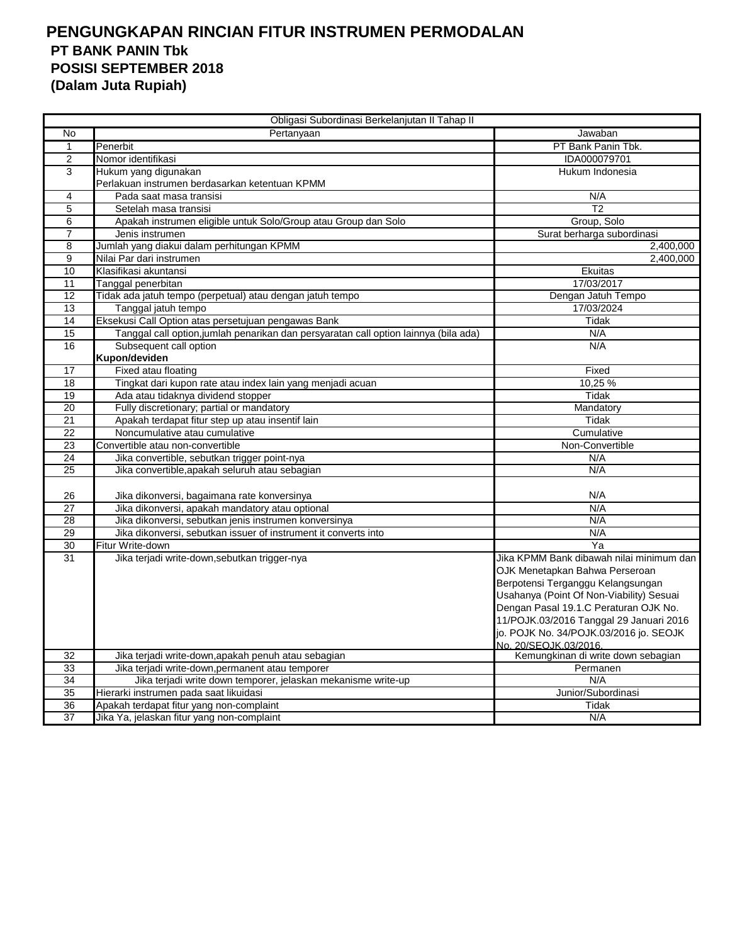| Obligasi Subordinasi Berkelanjutan II Tahap II |                                                                                      |                                                                                                                 |
|------------------------------------------------|--------------------------------------------------------------------------------------|-----------------------------------------------------------------------------------------------------------------|
| No                                             | Pertanyaan                                                                           | Jawaban                                                                                                         |
| 1                                              | Penerbit                                                                             | PT Bank Panin Tbk.                                                                                              |
| $\overline{2}$                                 | Nomor identifikasi                                                                   | IDA000079701                                                                                                    |
| 3                                              | Hukum yang digunakan                                                                 | Hukum Indonesia                                                                                                 |
|                                                | Perlakuan instrumen berdasarkan ketentuan KPMM                                       |                                                                                                                 |
| 4                                              | Pada saat masa transisi                                                              | N/A                                                                                                             |
| $\overline{5}$                                 | Setelah masa transisi                                                                | $\overline{12}$                                                                                                 |
| 6                                              | Apakah instrumen eligible untuk Solo/Group atau Group dan Solo                       | Group, Solo                                                                                                     |
| $\overline{7}$                                 | Jenis instrumen                                                                      | Surat berharga subordinasi                                                                                      |
| 8                                              | Jumlah yang diakui dalam perhitungan KPMM                                            | 2,400,000                                                                                                       |
| 9                                              | Nilai Par dari instrumen                                                             | 2,400,000                                                                                                       |
| 10                                             | Klasifikasi akuntansi                                                                | Ekuitas                                                                                                         |
| 11                                             | Tanggal penerbitan                                                                   | 17/03/2017                                                                                                      |
| 12                                             | Tidak ada jatuh tempo (perpetual) atau dengan jatuh tempo                            | Dengan Jatuh Tempo                                                                                              |
| 13                                             | Tanggal jatuh tempo                                                                  | 17/03/2024                                                                                                      |
| 14                                             | Eksekusi Call Option atas persetujuan pengawas Bank                                  | Tidak                                                                                                           |
| 15                                             | Tanggal call option, jumlah penarikan dan persyaratan call option lainnya (bila ada) | N/A                                                                                                             |
| 16                                             | Subsequent call option                                                               | N/A                                                                                                             |
|                                                | Kupon/deviden                                                                        |                                                                                                                 |
| 17                                             | Fixed atau floating                                                                  | Fixed                                                                                                           |
| 18                                             | Tingkat dari kupon rate atau index lain yang menjadi acuan                           | 10,25 %                                                                                                         |
| 19                                             | Ada atau tidaknya dividend stopper                                                   | Tidak                                                                                                           |
| $\overline{20}$                                | Fully discretionary; partial or mandatory                                            | Mandatory                                                                                                       |
| 21                                             | Apakah terdapat fitur step up atau insentif lain                                     | Tidak                                                                                                           |
| $\overline{22}$                                | Noncumulative atau cumulative                                                        | Cumulative                                                                                                      |
| 23                                             | Convertible atau non-convertible                                                     | Non-Convertible                                                                                                 |
| 24                                             | Jika convertible, sebutkan trigger point-nya                                         | N/A                                                                                                             |
| 25                                             | Jika convertible, apakah seluruh atau sebagian                                       | N/A                                                                                                             |
|                                                |                                                                                      |                                                                                                                 |
| 26                                             | Jika dikonversi, bagaimana rate konversinya                                          | N/A                                                                                                             |
| 27                                             | Jika dikonversi, apakah mandatory atau optional                                      | N/A                                                                                                             |
| 28                                             | Jika dikonversi, sebutkan jenis instrumen konversinya                                | N/A                                                                                                             |
| 29                                             | Jika dikonversi, sebutkan issuer of instrument it converts into                      | N/A                                                                                                             |
| 30                                             | Fitur Write-down                                                                     | Ya                                                                                                              |
| 31                                             | Jika terjadi write-down, sebutkan trigger-nya                                        | Jika KPMM Bank dibawah nilai minimum dan<br>OJK Menetapkan Bahwa Perseroan<br>Berpotensi Terganggu Kelangsungan |
|                                                |                                                                                      | Usahanya (Point Of Non-Viability) Sesuai                                                                        |
|                                                |                                                                                      | Dengan Pasal 19.1.C Peraturan OJK No.                                                                           |
|                                                |                                                                                      | 11/POJK.03/2016 Tanggal 29 Januari 2016                                                                         |
|                                                |                                                                                      | jo. POJK No. 34/POJK.03/2016 jo. SEOJK                                                                          |
|                                                |                                                                                      | No. 20/SEOJK.03/2016.                                                                                           |
| 32                                             | Jika terjadi write-down, apakah penuh atau sebagian                                  | Kemungkinan di write down sebagian                                                                              |
| 33                                             | Jika terjadi write-down, permanent atau temporer                                     | Permanen                                                                                                        |
| 34                                             | Jika terjadi write down temporer, jelaskan mekanisme write-up                        | N/A                                                                                                             |
| 35                                             | Hierarki instrumen pada saat likuidasi                                               | Junior/Subordinasi                                                                                              |
| 36                                             | Apakah terdapat fitur yang non-complaint                                             | Tidak                                                                                                           |
| $\overline{37}$                                | Jika Ya, jelaskan fitur yang non-complaint                                           | N/A                                                                                                             |